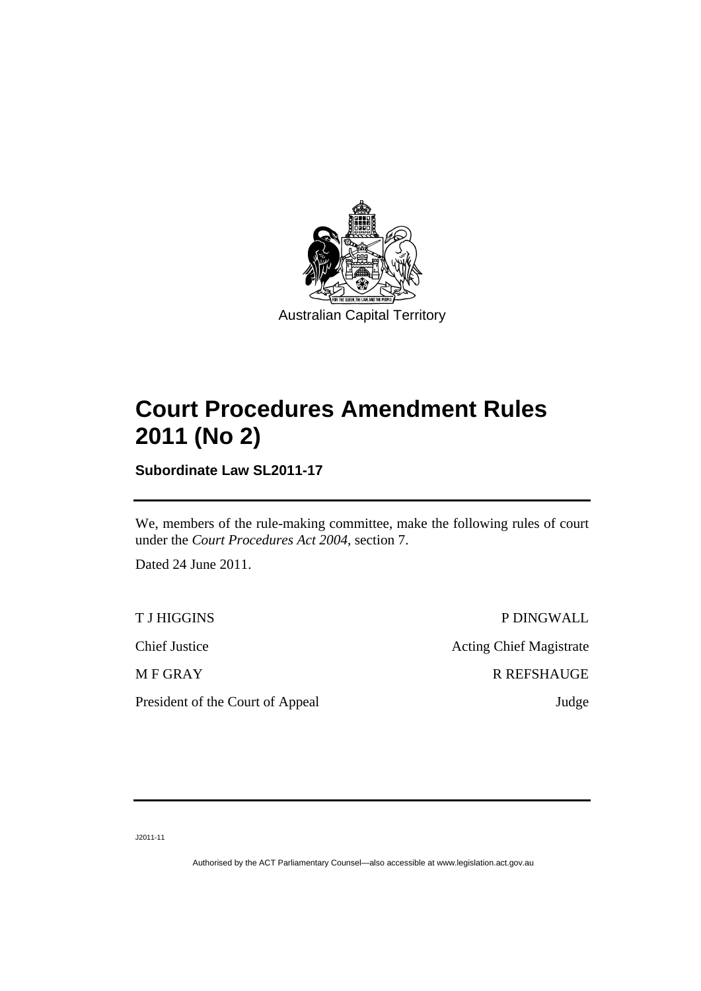

# **Court Procedures Amendment Rules 2011 (No 2)**

**Subordinate Law SL2011-17** 

We, members of the rule-making committee, make the following rules of court under the *Court Procedures Act 2004*, section 7.

Dated 24 June 2011.

President of the Court of Appeal Judge

T J HIGGINS P DINGWALL Chief Justice Acting Chief Magistrate M F GRAY R REFSHAUGE

J2011-11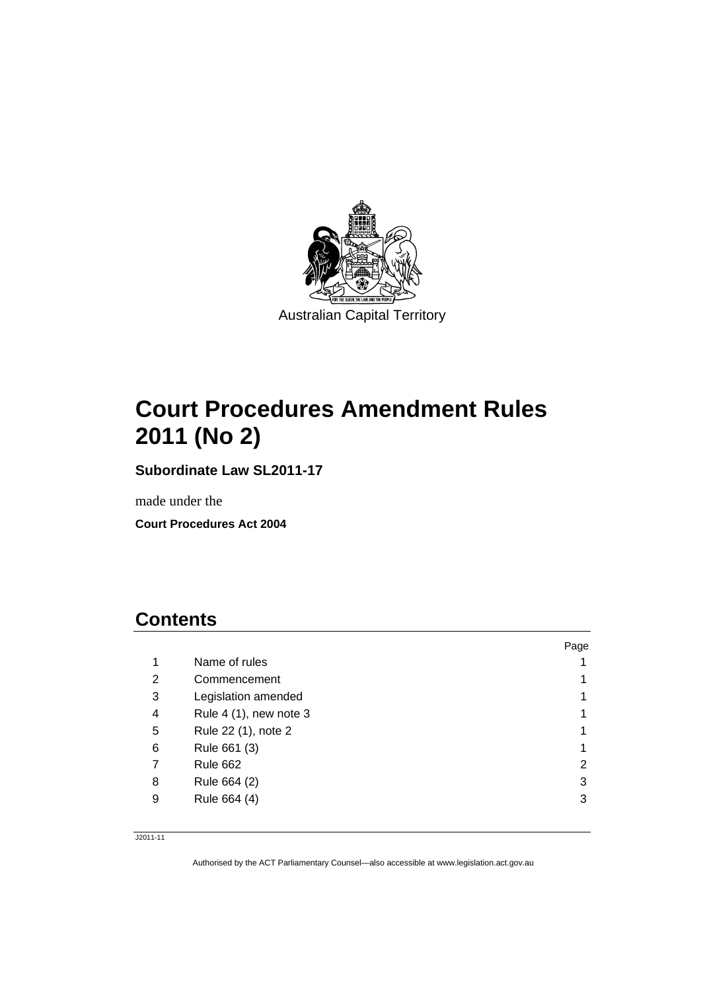

# **Court Procedures Amendment Rules 2011 (No 2)**

**Subordinate Law SL2011-17** 

made under the

**Court Procedures Act 2004** 

## **Contents**

|   |                            | Page |
|---|----------------------------|------|
| 1 | Name of rules              |      |
| 2 | Commencement               |      |
| 3 | Legislation amended        |      |
| 4 | Rule $4(1)$ , new note $3$ |      |
| 5 | Rule 22 (1), note 2        |      |
| 6 | Rule 661 (3)               | 1    |
| 7 | <b>Rule 662</b>            | 2    |
| 8 | Rule 664 (2)               | 3    |
| 9 | Rule 664 (4)               | 3    |
|   |                            |      |

J2011-11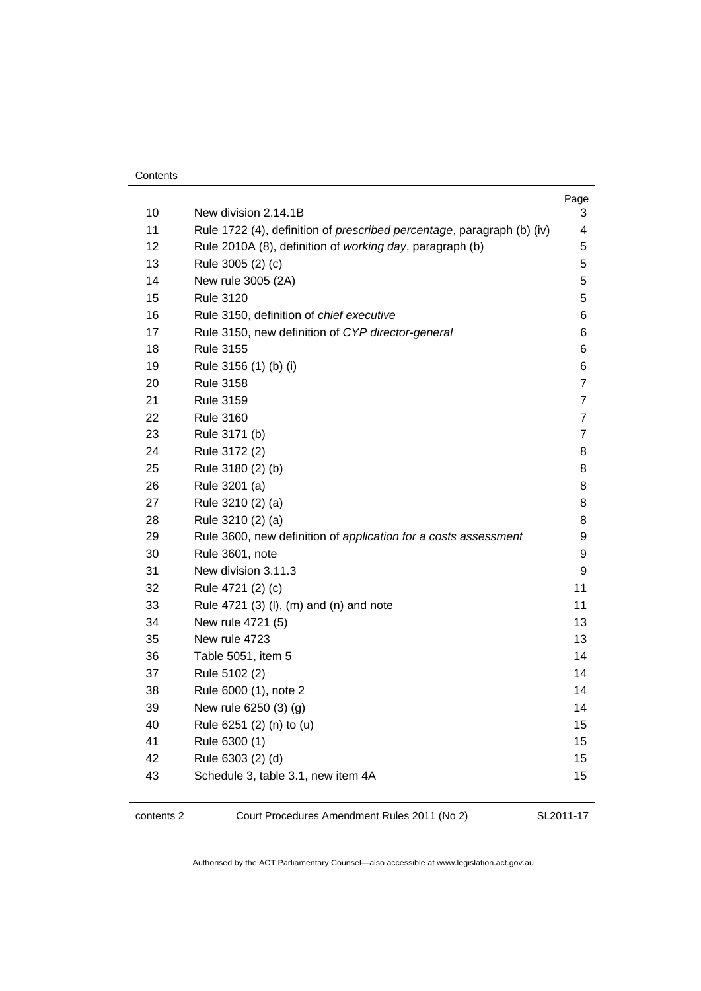| Contents |
|----------|
|----------|

|          |                                                                                | Page           |
|----------|--------------------------------------------------------------------------------|----------------|
| 10<br>11 | New division 2.14.1B                                                           | 3<br>4         |
|          | Rule 1722 (4), definition of <i>prescribed percentage</i> , paragraph (b) (iv) |                |
| 12<br>13 | Rule 2010A (8), definition of working day, paragraph (b)                       | 5<br>5         |
| 14       | Rule 3005 (2) (c)<br>New rule 3005 (2A)                                        | 5              |
| 15       | <b>Rule 3120</b>                                                               | 5              |
| 16       | Rule 3150, definition of chief executive                                       | 6              |
| 17       | Rule 3150, new definition of CYP director-general                              | 6              |
| 18       | <b>Rule 3155</b>                                                               | 6              |
| 19       | Rule 3156 (1) (b) (i)                                                          | 6              |
| 20       | <b>Rule 3158</b>                                                               | 7              |
| 21       | <b>Rule 3159</b>                                                               | $\overline{7}$ |
| 22       | <b>Rule 3160</b>                                                               | $\overline{7}$ |
| 23       | Rule 3171 (b)                                                                  | 7              |
| 24       | Rule 3172 (2)                                                                  | 8              |
| 25       | Rule 3180 (2) (b)                                                              | 8              |
| 26       | Rule 3201 (a)                                                                  | 8              |
| 27       | Rule 3210 (2) (a)                                                              | 8              |
| 28       | Rule 3210 (2) (a)                                                              | 8              |
| 29       | Rule 3600, new definition of application for a costs assessment                | 9              |
| 30       | Rule 3601, note                                                                | 9              |
| 31       | New division 3.11.3                                                            | 9              |
| 32       | Rule 4721 (2) (c)                                                              | 11             |
| 33       | Rule 4721 (3) (I), (m) and (n) and note                                        | 11             |
| 34       | New rule 4721 (5)                                                              | 13             |
| 35       | New rule 4723                                                                  | 13             |
| 36       | Table 5051, item 5                                                             | 14             |
| 37       | Rule 5102 (2)                                                                  | 14             |
| 38       | Rule 6000 (1), note 2                                                          | 14             |
| 39       | New rule 6250 (3) (g)                                                          | 14             |
| 40       | Rule 6251 (2) (n) to (u)                                                       | 15             |
| 41       | Rule 6300 (1)                                                                  | 15             |
| 42       | Rule 6303 (2) (d)                                                              | 15             |
| 43       | Schedule 3, table 3.1, new item 4A                                             | 15             |
|          |                                                                                |                |

contents 2 Court Procedures Amendment Rules 2011 (No 2)

SL2011-17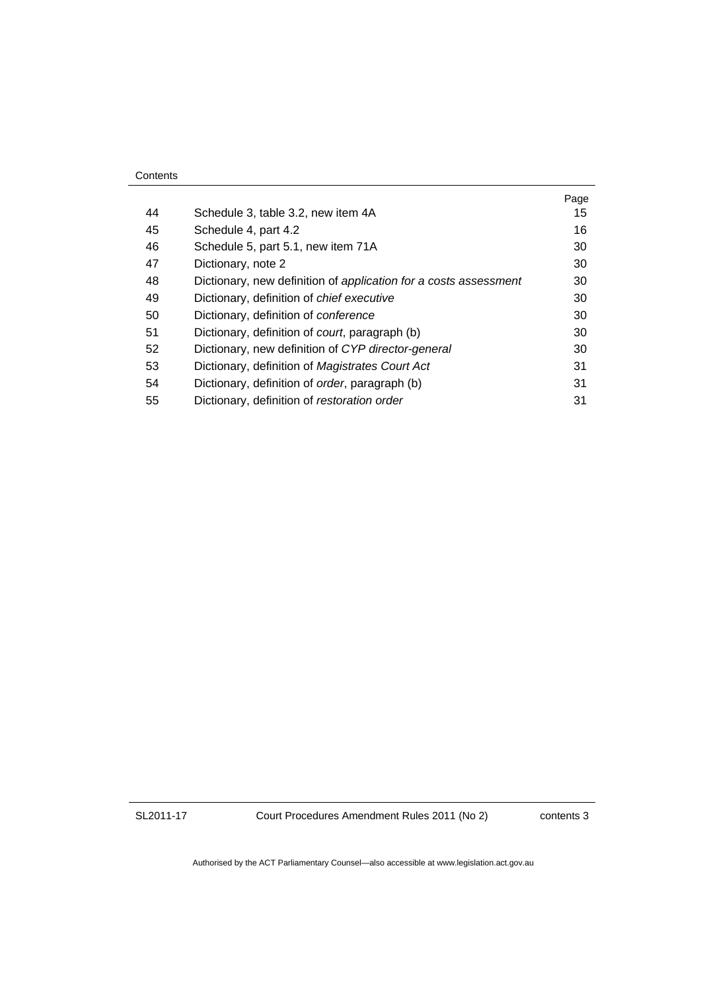|    |                                                                  | Page |
|----|------------------------------------------------------------------|------|
| 44 | Schedule 3, table 3.2, new item 4A                               | 15   |
| 45 | Schedule 4, part 4.2                                             | 16   |
| 46 | Schedule 5, part 5.1, new item 71A                               | 30   |
| 47 | Dictionary, note 2                                               | 30   |
| 48 | Dictionary, new definition of application for a costs assessment | 30   |
| 49 | Dictionary, definition of chief executive                        | 30   |
| 50 | Dictionary, definition of conference                             | 30   |
| 51 | Dictionary, definition of court, paragraph (b)                   | 30   |
| 52 | Dictionary, new definition of CYP director-general               | 30   |
| 53 | Dictionary, definition of Magistrates Court Act                  | 31   |
| 54 | Dictionary, definition of <i>order</i> , paragraph (b)           | 31   |
| 55 | Dictionary, definition of restoration order                      | 31   |

Court Procedures Amendment Rules 2011 (No 2)

contents 3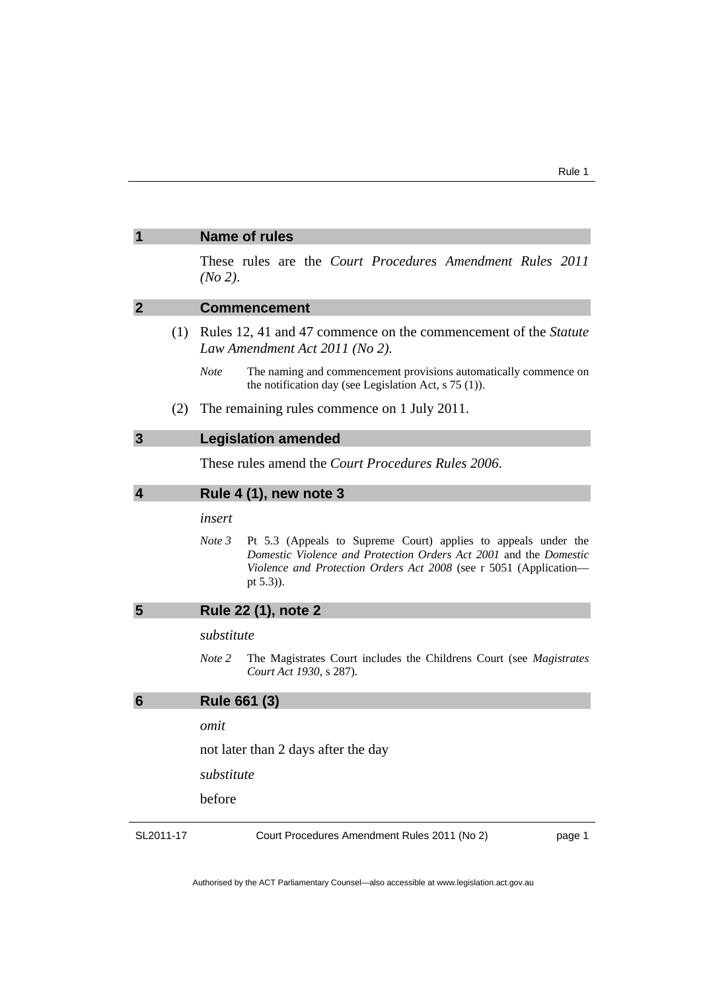|           | <b>Name of rules</b>                                                                                                                                                                                                                |  |
|-----------|-------------------------------------------------------------------------------------------------------------------------------------------------------------------------------------------------------------------------------------|--|
|           | These rules are the Court Procedures Amendment Rules 2011<br>$(No 2)$ .                                                                                                                                                             |  |
| 2         | <b>Commencement</b>                                                                                                                                                                                                                 |  |
| (1)       | Rules 12, 41 and 47 commence on the commencement of the Statute<br>Law Amendment Act 2011 (No 2).                                                                                                                                   |  |
|           | Note<br>The naming and commencement provisions automatically commence on<br>the notification day (see Legislation Act, $s$ 75 (1)).                                                                                                 |  |
| (2)       | The remaining rules commence on 1 July 2011.                                                                                                                                                                                        |  |
| 3         | <b>Legislation amended</b>                                                                                                                                                                                                          |  |
|           | These rules amend the <i>Court Procedures Rules</i> 2006.                                                                                                                                                                           |  |
| 4         | <b>Rule 4 (1), new note 3</b>                                                                                                                                                                                                       |  |
|           | insert                                                                                                                                                                                                                              |  |
|           | Note 3<br>Pt 5.3 (Appeals to Supreme Court) applies to appeals under the<br>Domestic Violence and Protection Orders Act 2001 and the Domestic<br>Violence and Protection Orders Act 2008 (see r 5051 (Application-<br>pt $(5.3)$ ). |  |
| 5         | Rule 22 (1), note 2                                                                                                                                                                                                                 |  |
|           | substitute                                                                                                                                                                                                                          |  |
|           | Note 2<br>The Magistrates Court includes the Childrens Court (see Magistrates<br>Court Act 1930, s 287).                                                                                                                            |  |
| 6         | <b>Rule 661 (3)</b>                                                                                                                                                                                                                 |  |
|           | omit                                                                                                                                                                                                                                |  |
|           | not later than 2 days after the day                                                                                                                                                                                                 |  |
|           | substitute                                                                                                                                                                                                                          |  |
|           | before                                                                                                                                                                                                                              |  |
| SL2011-17 | Court Procedures Amendment Rules 2011 (No 2)<br>page 1                                                                                                                                                                              |  |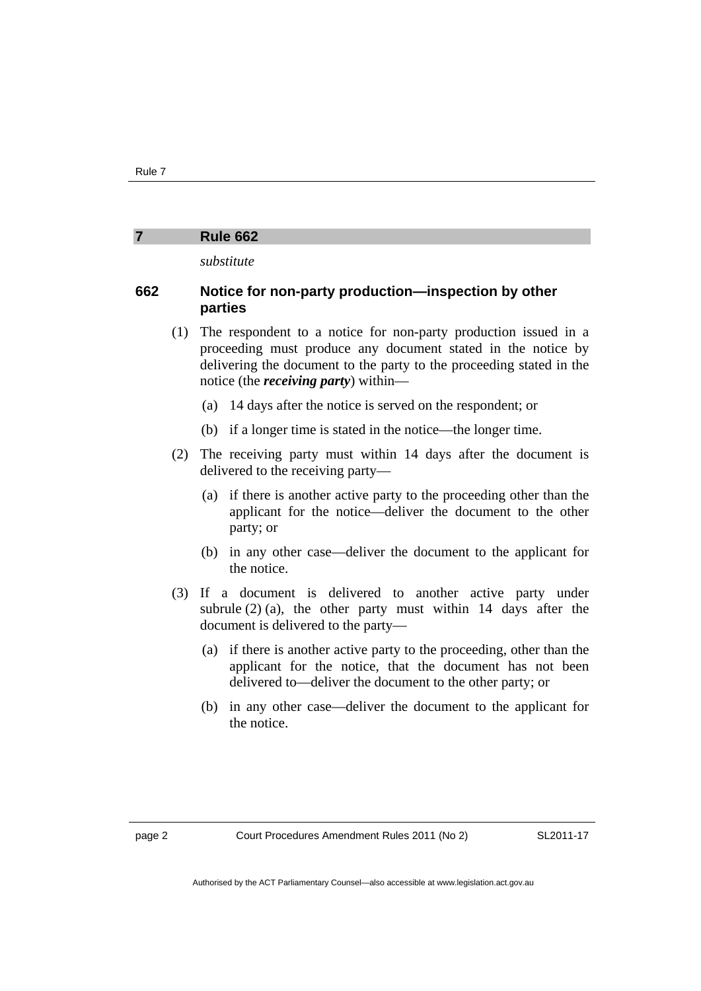#### **7 Rule 662**

*substitute* 

#### **662 Notice for non-party production—inspection by other parties**

- (1) The respondent to a notice for non-party production issued in a proceeding must produce any document stated in the notice by delivering the document to the party to the proceeding stated in the notice (the *receiving party*) within—
	- (a) 14 days after the notice is served on the respondent; or
	- (b) if a longer time is stated in the notice—the longer time.
- (2) The receiving party must within 14 days after the document is delivered to the receiving party—
	- (a) if there is another active party to the proceeding other than the applicant for the notice—deliver the document to the other party; or
	- (b) in any other case—deliver the document to the applicant for the notice.
- (3) If a document is delivered to another active party under subrule  $(2)$  (a), the other party must within 14 days after the document is delivered to the party—
	- (a) if there is another active party to the proceeding, other than the applicant for the notice, that the document has not been delivered to—deliver the document to the other party; or
	- (b) in any other case—deliver the document to the applicant for the notice.

SL2011-17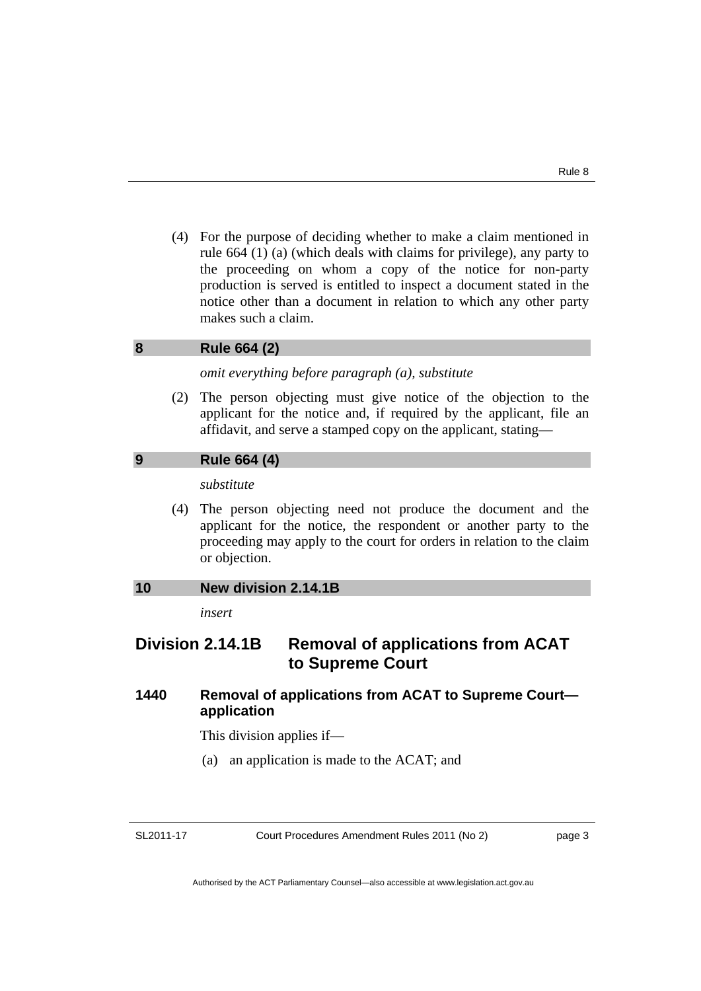(4) For the purpose of deciding whether to make a claim mentioned in rule 664 (1) (a) (which deals with claims for privilege), any party to the proceeding on whom a copy of the notice for non-party production is served is entitled to inspect a document stated in the notice other than a document in relation to which any other party makes such a claim.

#### **8 Rule 664 (2)**

*omit everything before paragraph (a), substitute* 

 (2) The person objecting must give notice of the objection to the applicant for the notice and, if required by the applicant, file an affidavit, and serve a stamped copy on the applicant, stating—

#### **9 Rule 664 (4)**

*substitute* 

 (4) The person objecting need not produce the document and the applicant for the notice, the respondent or another party to the proceeding may apply to the court for orders in relation to the claim or objection.

#### **10 New division 2.14.1B**

*insert* 

### **Division 2.14.1B Removal of applications from ACAT to Supreme Court**

#### **1440 Removal of applications from ACAT to Supreme Court application**

This division applies if—

(a) an application is made to the ACAT; and

Court Procedures Amendment Rules 2011 (No 2)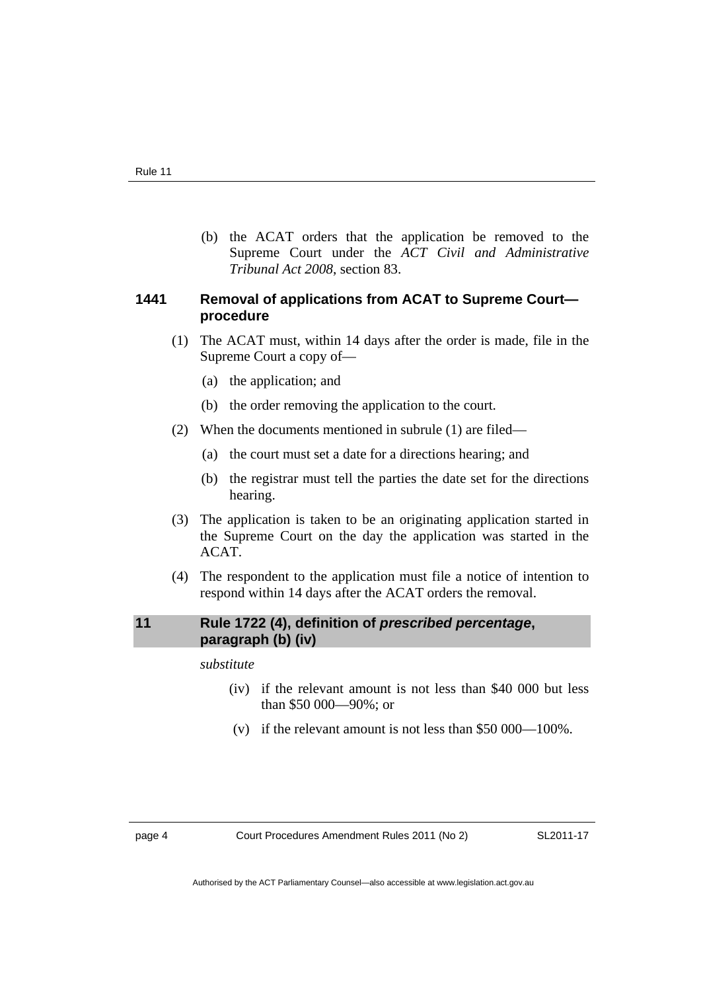(b) the ACAT orders that the application be removed to the Supreme Court under the *ACT Civil and Administrative Tribunal Act 2008*, section 83.

#### **1441 Removal of applications from ACAT to Supreme Court procedure**

- (1) The ACAT must, within 14 days after the order is made, file in the Supreme Court a copy of—
	- (a) the application; and
	- (b) the order removing the application to the court.
- (2) When the documents mentioned in subrule (1) are filed—
	- (a) the court must set a date for a directions hearing; and
	- (b) the registrar must tell the parties the date set for the directions hearing.
- (3) The application is taken to be an originating application started in the Supreme Court on the day the application was started in the ACAT.
- (4) The respondent to the application must file a notice of intention to respond within 14 days after the ACAT orders the removal.

#### **11 Rule 1722 (4), definition of** *prescribed percentage***, paragraph (b) (iv)**

*substitute* 

- (iv) if the relevant amount is not less than \$40 000 but less than \$50 000—90%; or
- (v) if the relevant amount is not less than \$50 000—100%.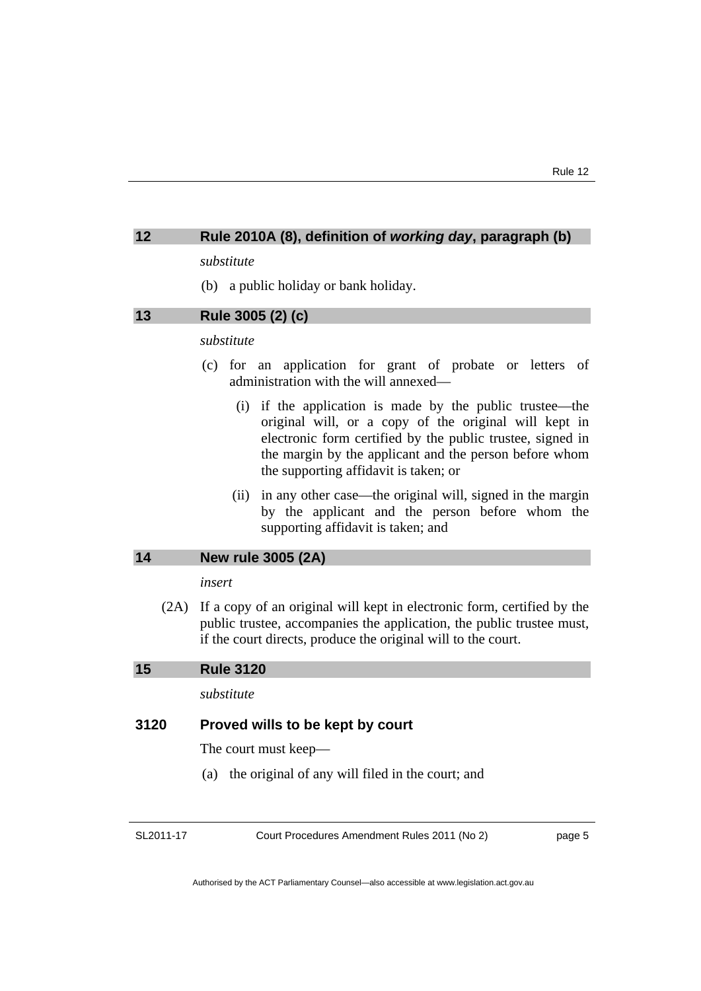#### **12 Rule 2010A (8), definition of** *working day***, paragraph (b)**

#### *substitute*

(b) a public holiday or bank holiday.

#### **13 Rule 3005 (2) (c)**

#### *substitute*

- (c) for an application for grant of probate or letters of administration with the will annexed—
	- (i) if the application is made by the public trustee—the original will, or a copy of the original will kept in electronic form certified by the public trustee, signed in the margin by the applicant and the person before whom the supporting affidavit is taken; or
	- (ii) in any other case—the original will, signed in the margin by the applicant and the person before whom the supporting affidavit is taken; and

#### **14 New rule 3005 (2A)**

#### *insert*

 (2A) If a copy of an original will kept in electronic form, certified by the public trustee, accompanies the application, the public trustee must, if the court directs, produce the original will to the court.

#### **15 Rule 3120**

#### *substitute*

#### **3120 Proved wills to be kept by court**

The court must keep—

(a) the original of any will filed in the court; and

SL2011-17

Court Procedures Amendment Rules 2011 (No 2)

page 5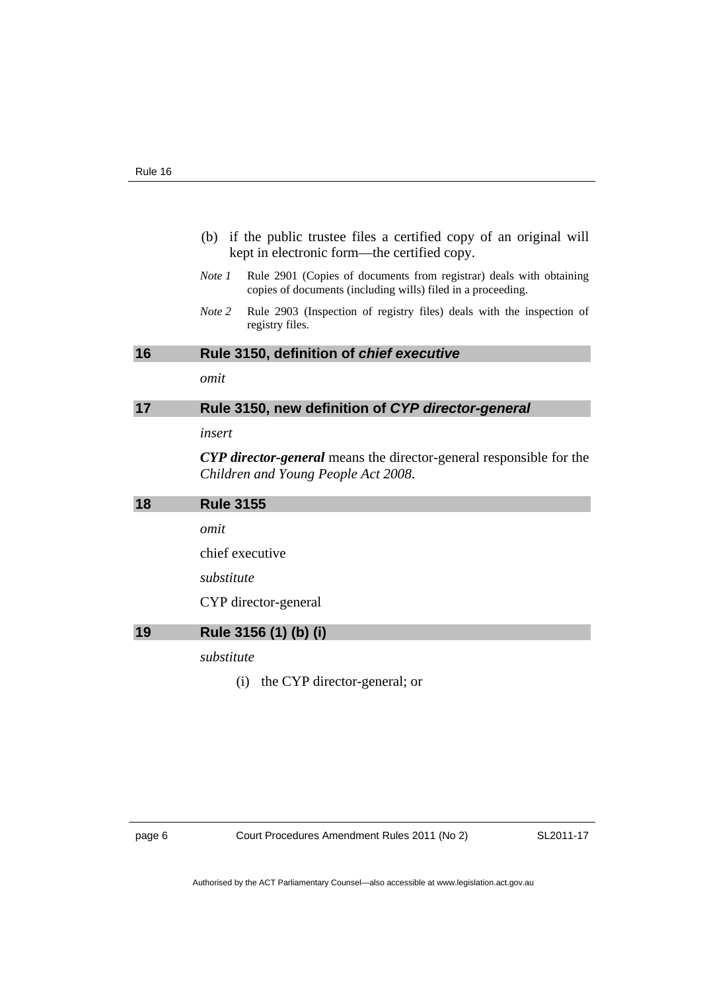| (b) if the public trustee files a certified copy of an original will |
|----------------------------------------------------------------------|
| kept in electronic form—the certified copy.                          |

- *Note 1* Rule 2901 (Copies of documents from registrar) deals with obtaining copies of documents (including wills) filed in a proceeding.
- *Note 2* Rule 2903 (Inspection of registry files) deals with the inspection of registry files.

#### **16 Rule 3150, definition of** *chief executive*

*omit* 

### **17 Rule 3150, new definition of** *CYP director-general*

*insert* 

*CYP director-general* means the director-general responsible for the *Children and Young People Act 2008*.

| 18 | <b>Rule 3155</b>      |  |
|----|-----------------------|--|
|    | omit                  |  |
|    | chief executive       |  |
|    | substitute            |  |
|    | CYP director-general  |  |
| 19 | Rule 3156 (1) (b) (i) |  |
|    | substitute            |  |

(i) the CYP director-general; or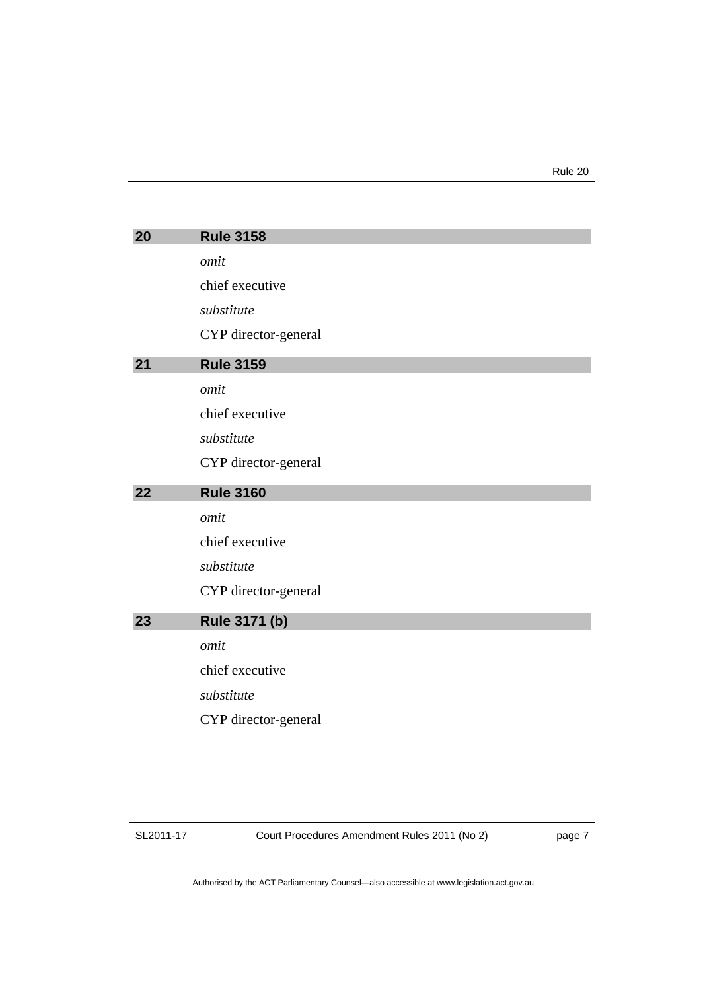| 20 | <b>Rule 3158</b>     |
|----|----------------------|
|    | omit                 |
|    | chief executive      |
|    | substitute           |
|    | CYP director-general |
| 21 | <b>Rule 3159</b>     |
|    | omit                 |
|    | chief executive      |
|    | substitute           |
|    | CYP director-general |
| 22 | <b>Rule 3160</b>     |
|    |                      |
|    | omit                 |
|    | chief executive      |
|    | substitute           |
|    | CYP director-general |
| 23 | Rule 3171 (b)        |
|    | omit                 |
|    | chief executive      |
|    | substitute           |
|    | CYP director-general |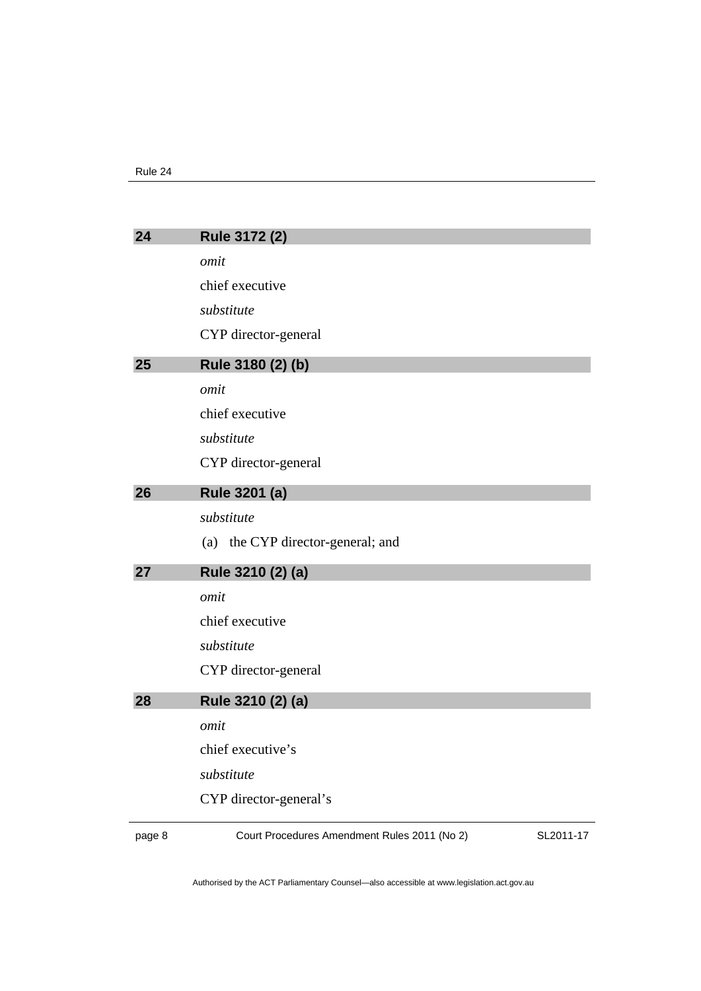| 24 | Rule 3172 (2)                     |
|----|-----------------------------------|
|    | omit                              |
|    | chief executive                   |
|    | substitute                        |
|    | CYP director-general              |
| 25 | Rule 3180 (2) (b)                 |
|    | omit                              |
|    | chief executive                   |
|    | substitute                        |
|    | CYP director-general              |
| 26 | Rule 3201 (a)                     |
|    | substitute                        |
|    | (a) the CYP director-general; and |
| 27 | Rule 3210 (2) (a)                 |
|    | omit                              |
|    | chief executive                   |
|    | substitute                        |
|    | CYP director-general              |
| 28 | Rule 3210 (2) (a)                 |
|    | omit                              |
|    | chief executive's                 |
|    | substitute                        |
|    | CYP director-general's            |
|    |                                   |

page 8 Court Procedures Amendment Rules 2011 (No 2)

SL2011-17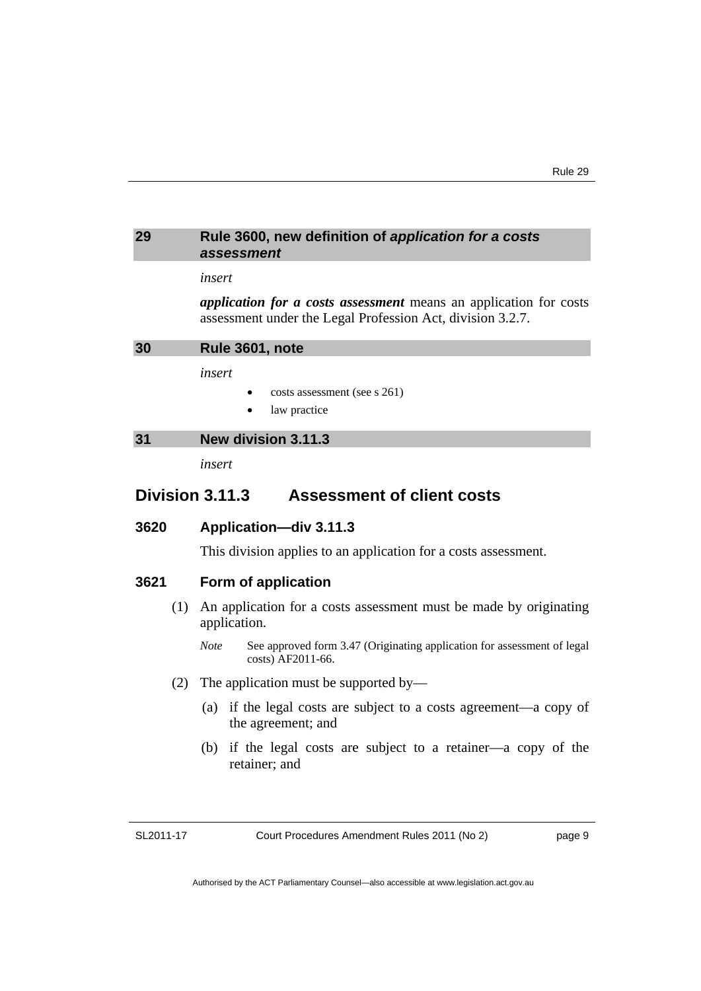#### **29 Rule 3600, new definition of** *application for a costs assessment*

#### *insert*

*application for a costs assessment* means an application for costs assessment under the Legal Profession Act, division 3.2.7.

**30 Rule 3601, note** 

*insert* 

- costs assessment (see s 261)
- law practice

#### **31 New division 3.11.3**

*insert* 

### **Division 3.11.3 Assessment of client costs**

#### **3620 Application—div 3.11.3**

This division applies to an application for a costs assessment.

#### **3621 Form of application**

- (1) An application for a costs assessment must be made by originating application.
	- *Note* See approved form 3.47 (Originating application for assessment of legal costs) AF2011-66.
- (2) The application must be supported by—
	- (a) if the legal costs are subject to a costs agreement—a copy of the agreement; and
	- (b) if the legal costs are subject to a retainer—a copy of the retainer; and

SL2011-17

Court Procedures Amendment Rules 2011 (No 2)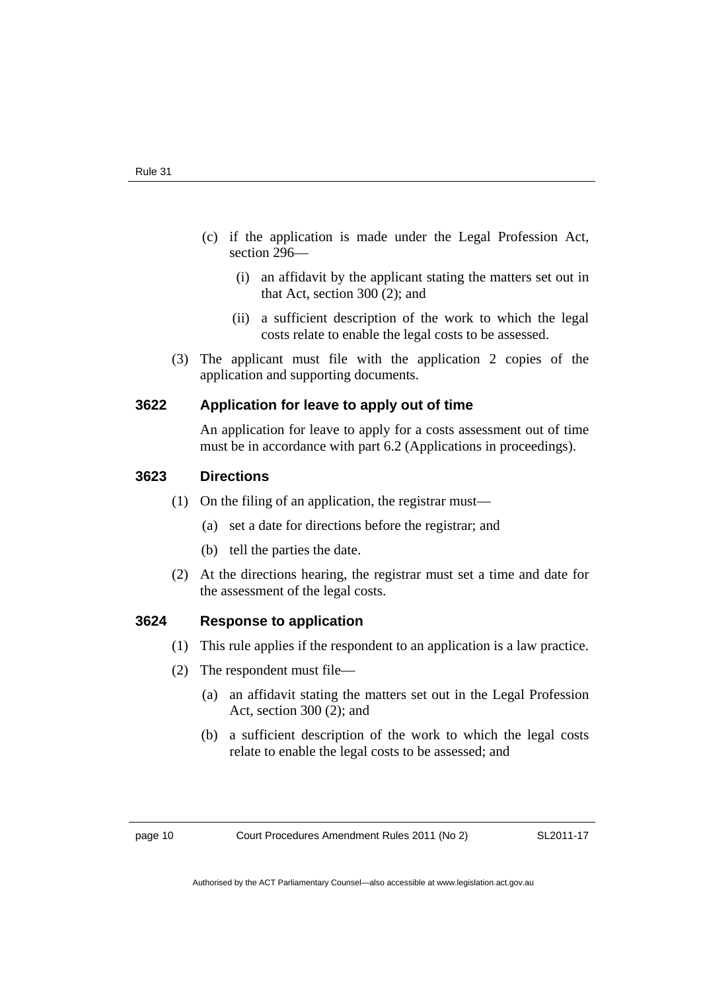- (c) if the application is made under the Legal Profession Act, section 296—
	- (i) an affidavit by the applicant stating the matters set out in that Act, section 300 (2); and
	- (ii) a sufficient description of the work to which the legal costs relate to enable the legal costs to be assessed.
- (3) The applicant must file with the application 2 copies of the application and supporting documents.

#### **3622 Application for leave to apply out of time**

An application for leave to apply for a costs assessment out of time must be in accordance with part 6.2 (Applications in proceedings).

#### **3623 Directions**

- (1) On the filing of an application, the registrar must—
	- (a) set a date for directions before the registrar; and
	- (b) tell the parties the date.
- (2) At the directions hearing, the registrar must set a time and date for the assessment of the legal costs.

#### **3624 Response to application**

- (1) This rule applies if the respondent to an application is a law practice.
- (2) The respondent must file—
	- (a) an affidavit stating the matters set out in the Legal Profession Act, section 300 (2); and
	- (b) a sufficient description of the work to which the legal costs relate to enable the legal costs to be assessed; and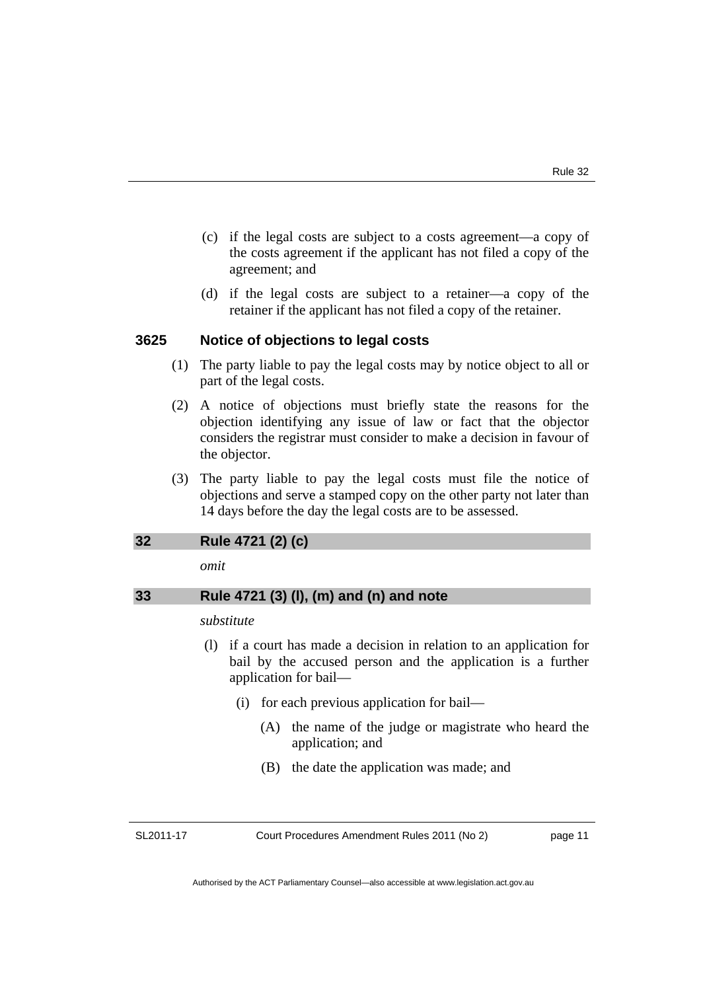- (c) if the legal costs are subject to a costs agreement—a copy of the costs agreement if the applicant has not filed a copy of the agreement; and
- (d) if the legal costs are subject to a retainer—a copy of the retainer if the applicant has not filed a copy of the retainer.

#### **3625 Notice of objections to legal costs**

- (1) The party liable to pay the legal costs may by notice object to all or part of the legal costs.
- (2) A notice of objections must briefly state the reasons for the objection identifying any issue of law or fact that the objector considers the registrar must consider to make a decision in favour of the objector.
- (3) The party liable to pay the legal costs must file the notice of objections and serve a stamped copy on the other party not later than 14 days before the day the legal costs are to be assessed.

#### **32 Rule 4721 (2) (c)**

*omit* 

#### **33 Rule 4721 (3) (l), (m) and (n) and note**

#### *substitute*

- (l) if a court has made a decision in relation to an application for bail by the accused person and the application is a further application for bail—
	- (i) for each previous application for bail—
		- (A) the name of the judge or magistrate who heard the application; and
		- (B) the date the application was made; and

SL2011-17

Court Procedures Amendment Rules 2011 (No 2)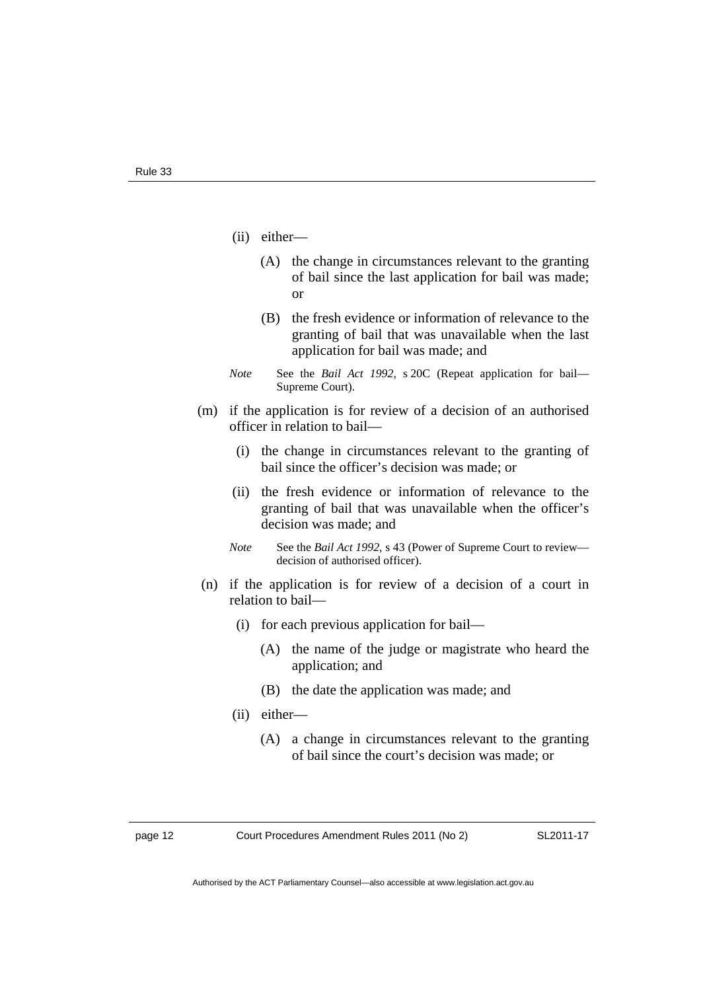- (ii) either—
	- (A) the change in circumstances relevant to the granting of bail since the last application for bail was made; or
	- (B) the fresh evidence or information of relevance to the granting of bail that was unavailable when the last application for bail was made; and
- *Note* See the *Bail Act 1992*, s 20C (Repeat application for bail— Supreme Court).
- (m) if the application is for review of a decision of an authorised officer in relation to bail—
	- (i) the change in circumstances relevant to the granting of bail since the officer's decision was made; or
	- (ii) the fresh evidence or information of relevance to the granting of bail that was unavailable when the officer's decision was made; and
	- *Note* See the *Bail Act 1992*, s 43 (Power of Supreme Court to review decision of authorised officer).
- (n) if the application is for review of a decision of a court in relation to bail—
	- (i) for each previous application for bail—
		- (A) the name of the judge or magistrate who heard the application; and
		- (B) the date the application was made; and
	- (ii) either—
		- (A) a change in circumstances relevant to the granting of bail since the court's decision was made; or

page 12 Court Procedures Amendment Rules 2011 (No 2)

SL2011-17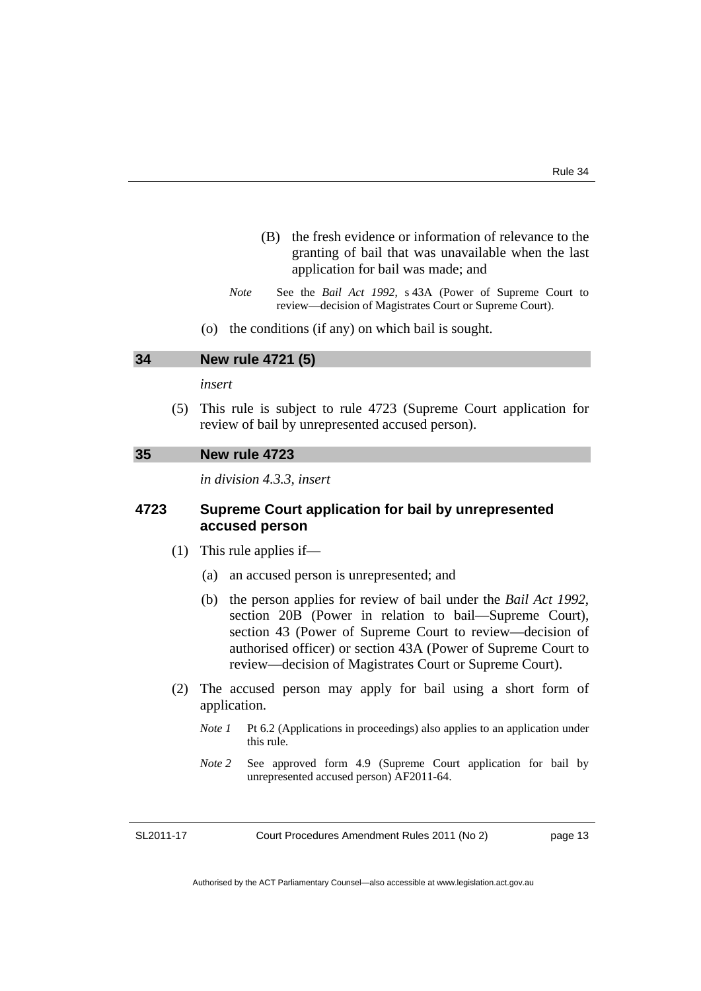- (B) the fresh evidence or information of relevance to the granting of bail that was unavailable when the last application for bail was made; and
- *Note* See the *Bail Act 1992*, s 43A (Power of Supreme Court to review—decision of Magistrates Court or Supreme Court).
- (o) the conditions (if any) on which bail is sought.

#### **34 New rule 4721 (5)**

#### *insert*

 (5) This rule is subject to rule 4723 (Supreme Court application for review of bail by unrepresented accused person).

#### **35 New rule 4723**

*in division 4.3.3, insert* 

#### **4723 Supreme Court application for bail by unrepresented accused person**

- (1) This rule applies if—
	- (a) an accused person is unrepresented; and
	- (b) the person applies for review of bail under the *Bail Act 1992*, section 20B (Power in relation to bail—Supreme Court), section 43 (Power of Supreme Court to review—decision of authorised officer) or section 43A (Power of Supreme Court to review—decision of Magistrates Court or Supreme Court).
- (2) The accused person may apply for bail using a short form of application.
	- *Note 1* Pt 6.2 (Applications in proceedings) also applies to an application under this rule.
	- *Note 2* See approved form 4.9 (Supreme Court application for bail by unrepresented accused person) AF2011-64.

SL2011-17

Court Procedures Amendment Rules 2011 (No 2)

page 13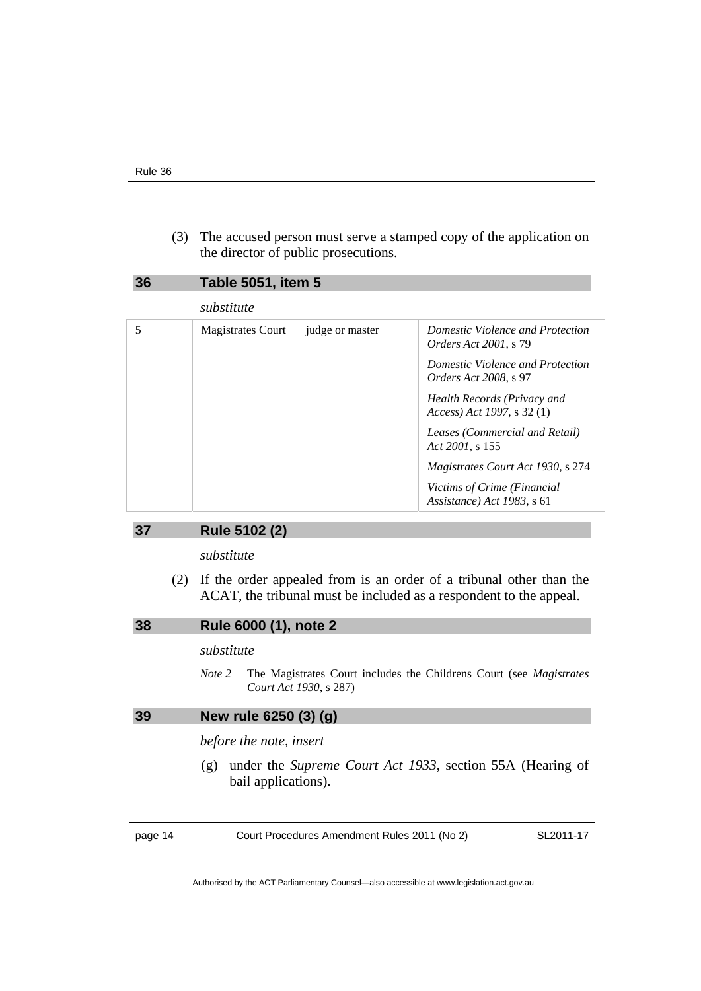(3) The accused person must serve a stamped copy of the application on the director of public prosecutions.

| 36 | <b>Table 5051, item 5</b> |                 |                                                                  |
|----|---------------------------|-----------------|------------------------------------------------------------------|
|    | substitute                |                 |                                                                  |
| 5  | <b>Magistrates Court</b>  | judge or master | Domestic Violence and Protection<br><i>Orders Act 2001, s 79</i> |
|    |                           |                 | Domestic Violence and Protection<br><i>Orders Act 2008, s</i> 97 |
|    |                           |                 | Health Records (Privacy and<br>Access) Act 1997, s 32 (1)        |
|    |                           |                 | Leases (Commercial and Retail)<br>Act 2001, s 155                |
|    |                           |                 | Magistrates Court Act 1930, s 274                                |
|    |                           |                 | Victims of Crime (Financial<br>Assistance) Act 1983, s 61        |

#### **37 Rule 5102 (2)**

*substitute* 

 (2) If the order appealed from is an order of a tribunal other than the ACAT, the tribunal must be included as a respondent to the appeal.

|  | 38 | Rule 6000 (1), note 2 |
|--|----|-----------------------|
|--|----|-----------------------|

#### *substitute*

*Note 2* The Magistrates Court includes the Childrens Court (see *Magistrates Court Act 1930*, s 287)

#### **39 New rule 6250 (3) (g)**

*before the note, insert* 

 (g) under the *Supreme Court Act 1933*, section 55A (Hearing of bail applications).

page 14 Court Procedures Amendment Rules 2011 (No 2)

SL2011-17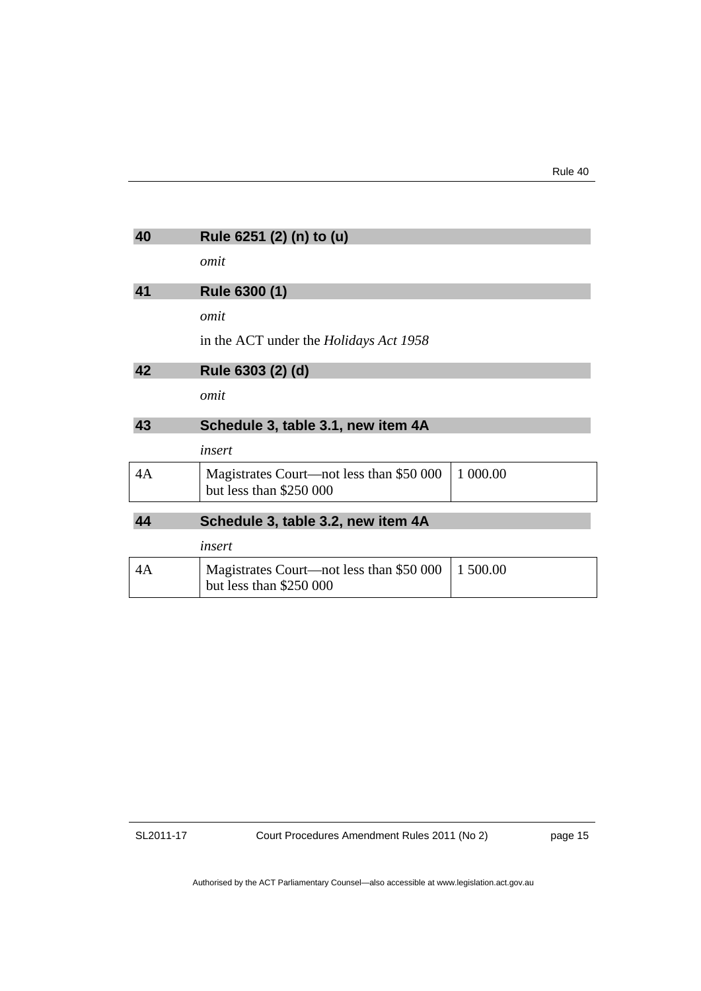| 40 | Rule 6251 (2) (n) to (u)                                            |          |
|----|---------------------------------------------------------------------|----------|
|    | omit                                                                |          |
| 41 | Rule 6300 (1)                                                       |          |
|    | omit                                                                |          |
|    | in the ACT under the <i>Holidays Act 1958</i>                       |          |
| 42 | Rule 6303 (2) (d)                                                   |          |
|    | omit                                                                |          |
| 43 | Schedule 3, table 3.1, new item 4A                                  |          |
|    | insert                                                              |          |
| 4A | Magistrates Court—not less than \$50 000<br>but less than \$250 000 | 1 000.00 |
| 44 | Schedule 3, table 3.2, new item 4A                                  |          |
|    | insert                                                              |          |
| 4A | Magistrates Court—not less than \$50 000<br>but less than \$250 000 | 1 500.00 |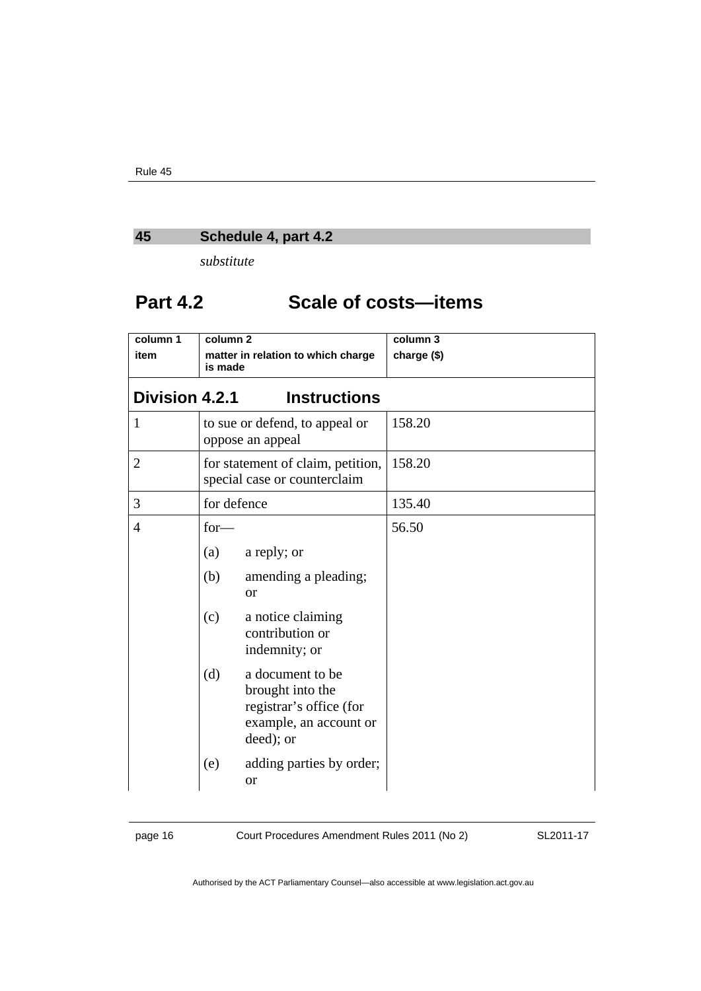### **45 Schedule 4, part 4.2**

*substitute* 

### **Part 4.2 Scale of costs—items**

| column 1              | column <sub>2</sub>                                               |                                                                                                        | column 3    |
|-----------------------|-------------------------------------------------------------------|--------------------------------------------------------------------------------------------------------|-------------|
| item                  | is made                                                           | matter in relation to which charge                                                                     | charge (\$) |
| <b>Division 4.2.1</b> |                                                                   | <b>Instructions</b>                                                                                    |             |
| $\mathbf{1}$          |                                                                   | to sue or defend, to appeal or<br>oppose an appeal                                                     | 158.20      |
| $\overline{2}$        | for statement of claim, petition,<br>special case or counterclaim |                                                                                                        | 158.20      |
| 3                     | for defence                                                       |                                                                                                        | 135.40      |
| 4                     | $for-$                                                            |                                                                                                        | 56.50       |
|                       | (a)                                                               | a reply; or                                                                                            |             |
|                       | (b)                                                               | amending a pleading;<br><b>or</b>                                                                      |             |
|                       | (c)                                                               | a notice claiming<br>contribution or<br>indemnity; or                                                  |             |
|                       | (d)                                                               | a document to be<br>brought into the<br>registrar's office (for<br>example, an account or<br>deed); or |             |
|                       | (e)                                                               | adding parties by order;<br><b>or</b>                                                                  |             |

page 16 Court Procedures Amendment Rules 2011 (No 2)

SL2011-17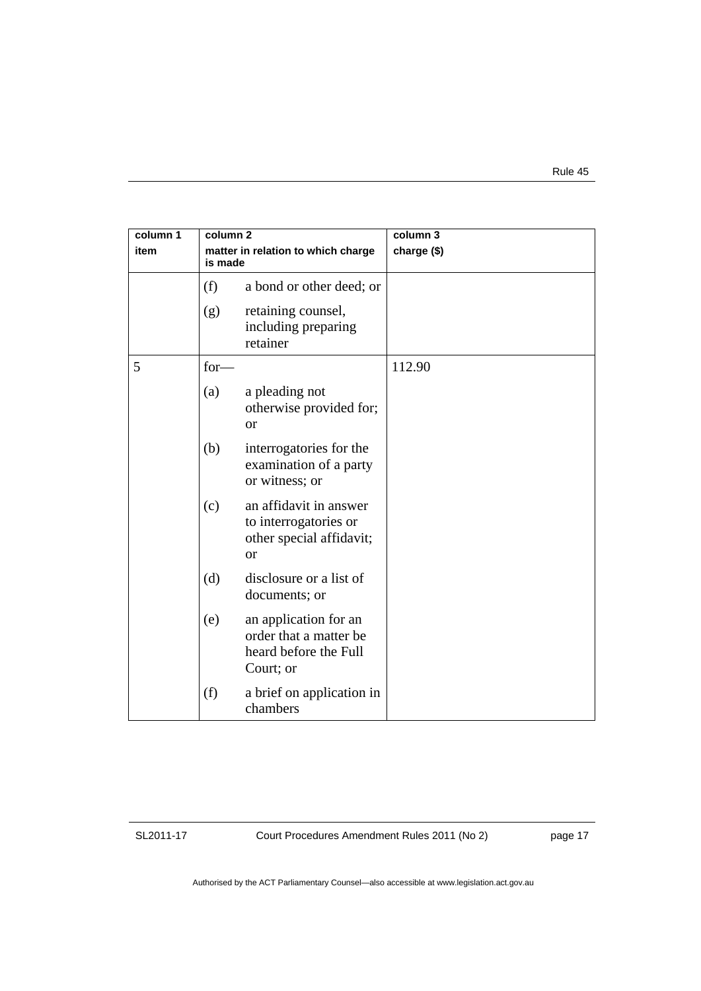| column 1<br>item | column <sub>2</sub><br>matter in relation to which charge<br>is made |                                                                                              | column 3<br>charge (\$) |
|------------------|----------------------------------------------------------------------|----------------------------------------------------------------------------------------------|-------------------------|
|                  | (f)                                                                  | a bond or other deed; or                                                                     |                         |
|                  | (g)                                                                  | retaining counsel,<br>including preparing<br>retainer                                        |                         |
| 5                | $for-$                                                               |                                                                                              | 112.90                  |
|                  | (a)                                                                  | a pleading not<br>otherwise provided for;<br><b>or</b>                                       |                         |
|                  | (b)                                                                  | interrogatories for the<br>examination of a party<br>or witness; or                          |                         |
|                  | (c)                                                                  | an affidavit in answer<br>to interrogatories or<br>other special affidavit;<br><sub>or</sub> |                         |
|                  | (d)                                                                  | disclosure or a list of<br>documents; or                                                     |                         |
|                  | (e)                                                                  | an application for an<br>order that a matter be<br>heard before the Full<br>Court; or        |                         |
|                  | (f)                                                                  | a brief on application in<br>chambers                                                        |                         |

Court Procedures Amendment Rules 2011 (No 2)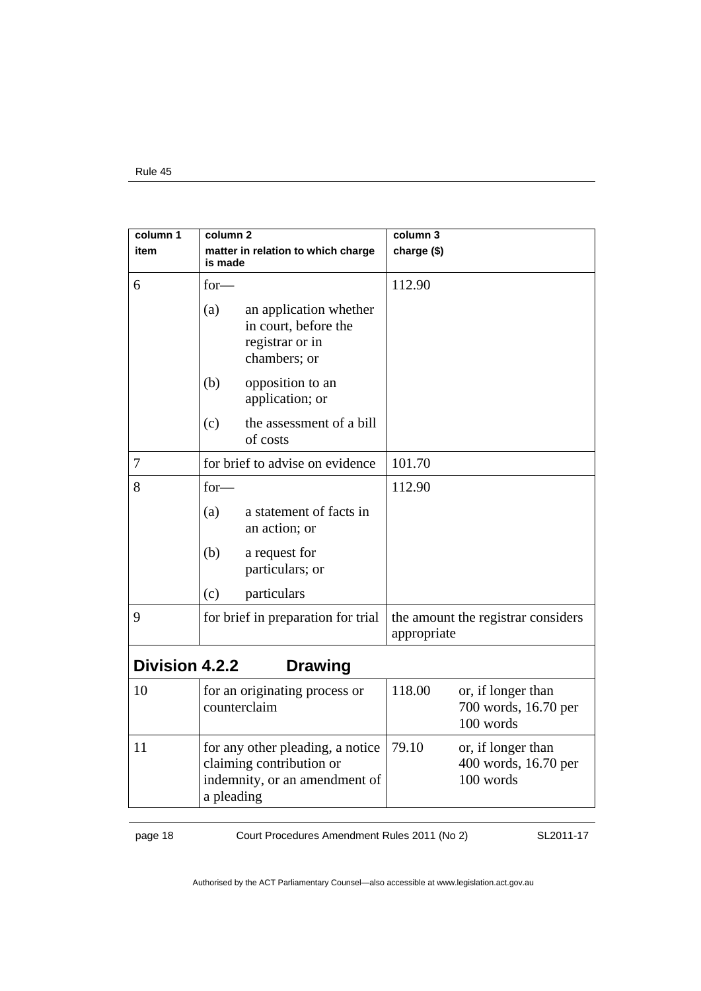| column 1              | column <sub>2</sub>                                                                                         | column 3                                                          |
|-----------------------|-------------------------------------------------------------------------------------------------------------|-------------------------------------------------------------------|
| item                  | matter in relation to which charge<br>is made                                                               | charge (\$)                                                       |
| 6                     | $for-$                                                                                                      | 112.90                                                            |
|                       | (a)<br>an application whether<br>in court, before the<br>registrar or in<br>chambers; or                    |                                                                   |
|                       | (b)<br>opposition to an<br>application; or                                                                  |                                                                   |
|                       | the assessment of a bill<br>(c)<br>of costs                                                                 |                                                                   |
| 7                     | for brief to advise on evidence                                                                             | 101.70                                                            |
| 8                     | $for-$                                                                                                      | 112.90                                                            |
|                       | a statement of facts in<br>(a)<br>an action; or                                                             |                                                                   |
|                       | (b)<br>a request for<br>particulars; or                                                                     |                                                                   |
|                       | particulars<br>(c)                                                                                          |                                                                   |
| 9                     | for brief in preparation for trial                                                                          | the amount the registrar considers<br>appropriate                 |
| <b>Division 4.2.2</b> | <b>Drawing</b>                                                                                              |                                                                   |
| 10                    | for an originating process or<br>counterclaim                                                               | 118.00<br>or, if longer than<br>700 words, 16.70 per<br>100 words |
| 11                    | for any other pleading, a notice<br>claiming contribution or<br>indemnity, or an amendment of<br>a pleading | 79.10<br>or, if longer than<br>400 words, 16.70 per<br>100 words  |

page 18 Court Procedures Amendment Rules 2011 (No 2)

SL2011-17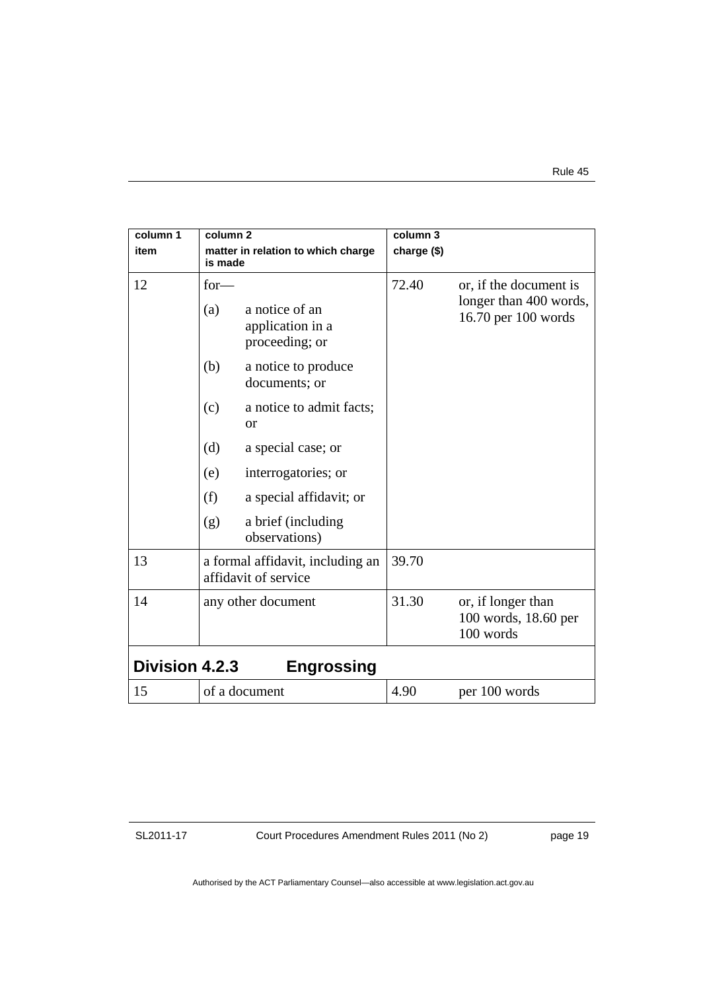| column 1<br>item      | column <sub>2</sub><br>is made | matter in relation to which charge                       | column 3<br>charge (\$) |                                                                         |
|-----------------------|--------------------------------|----------------------------------------------------------|-------------------------|-------------------------------------------------------------------------|
| 12                    | $for-$<br>(a)                  | a notice of an<br>application in a<br>proceeding; or     | 72.40                   | or, if the document is<br>longer than 400 words,<br>16.70 per 100 words |
|                       | (b)                            | a notice to produce<br>documents; or                     |                         |                                                                         |
|                       | (c)                            | a notice to admit facts;<br><b>or</b>                    |                         |                                                                         |
|                       | (d)                            | a special case; or                                       |                         |                                                                         |
|                       | (e)                            | interrogatories; or                                      |                         |                                                                         |
|                       | (f)                            | a special affidavit; or                                  |                         |                                                                         |
|                       | (g)                            | a brief (including<br>observations)                      |                         |                                                                         |
| 13                    |                                | a formal affidavit, including an<br>affidavit of service | 39.70                   |                                                                         |
| 14                    |                                | any other document                                       | 31.30                   | or, if longer than<br>100 words, 18.60 per<br>100 words                 |
| <b>Division 4.2.3</b> |                                | <b>Engrossing</b>                                        |                         |                                                                         |
| 15                    |                                | of a document                                            | 4.90                    | per 100 words                                                           |

Court Procedures Amendment Rules 2011 (No 2)

page 19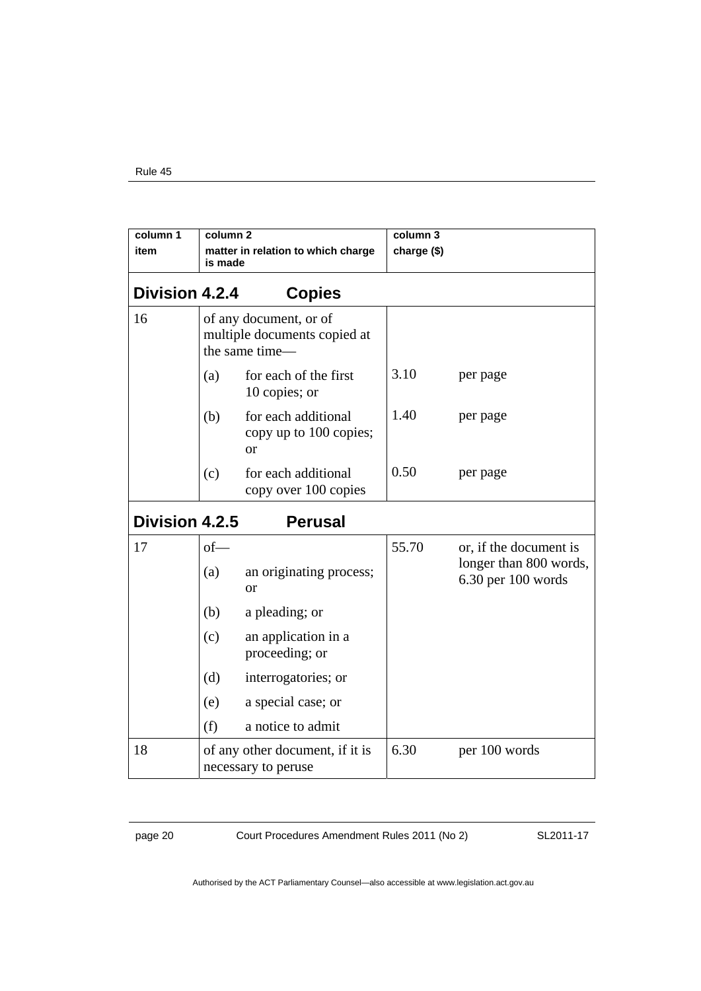| column 1<br>item      | column <sub>2</sub><br>is made                         | matter in relation to which charge                                       | column 3<br>charge (\$) |                                              |
|-----------------------|--------------------------------------------------------|--------------------------------------------------------------------------|-------------------------|----------------------------------------------|
| <b>Division 4.2.4</b> |                                                        | <b>Copies</b>                                                            |                         |                                              |
| 16                    |                                                        | of any document, or of<br>multiple documents copied at<br>the same time- |                         |                                              |
|                       | (a)                                                    | for each of the first<br>10 copies; or                                   | 3.10                    | per page                                     |
|                       | (b)                                                    | for each additional<br>copy up to 100 copies;<br><sub>or</sub>           | 1.40                    | per page                                     |
|                       | (c)                                                    | for each additional<br>copy over 100 copies                              | 0.50                    | per page                                     |
| Division 4.2.5        |                                                        | <b>Perusal</b>                                                           |                         |                                              |
| 17                    | $of$ —                                                 |                                                                          | 55.70                   | or, if the document is                       |
|                       | (a)                                                    | an originating process;<br><sub>or</sub>                                 |                         | longer than 800 words,<br>6.30 per 100 words |
|                       | (b)                                                    | a pleading; or                                                           |                         |                                              |
|                       | (c)                                                    | an application in a<br>proceeding; or                                    |                         |                                              |
|                       | (d)                                                    | interrogatories; or                                                      |                         |                                              |
|                       | (e)                                                    | a special case; or                                                       |                         |                                              |
|                       | (f)                                                    | a notice to admit                                                        |                         |                                              |
| 18                    | of any other document, if it is<br>necessary to peruse |                                                                          | 6.30                    | per 100 words                                |

page 20 Court Procedures Amendment Rules 2011 (No 2)

SL2011-17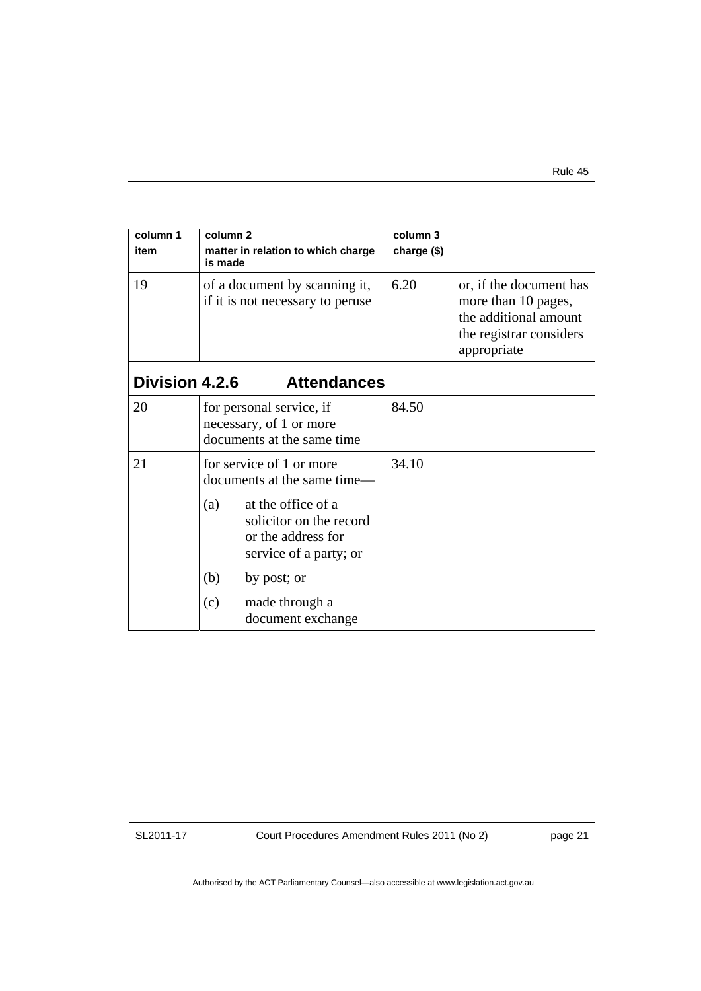| column 1<br>item      | column 2<br>matter in relation to which charge<br>is made                                                                                                                                                                           | column 3<br>charge (\$)                                                                                                   |
|-----------------------|-------------------------------------------------------------------------------------------------------------------------------------------------------------------------------------------------------------------------------------|---------------------------------------------------------------------------------------------------------------------------|
| 19                    | of a document by scanning it,<br>if it is not necessary to peruse                                                                                                                                                                   | 6.20<br>or, if the document has<br>more than 10 pages,<br>the additional amount<br>the registrar considers<br>appropriate |
| <b>Division 4.2.6</b> | <b>Attendances</b>                                                                                                                                                                                                                  |                                                                                                                           |
| 20                    | for personal service, if<br>necessary, of 1 or more<br>documents at the same time                                                                                                                                                   | 84.50                                                                                                                     |
| 21                    | for service of 1 or more<br>documents at the same time—<br>at the office of a<br>(a)<br>solicitor on the record<br>or the address for<br>service of a party; or<br>(b)<br>by post; or<br>(c)<br>made through a<br>document exchange | 34.10                                                                                                                     |

Court Procedures Amendment Rules 2011 (No 2)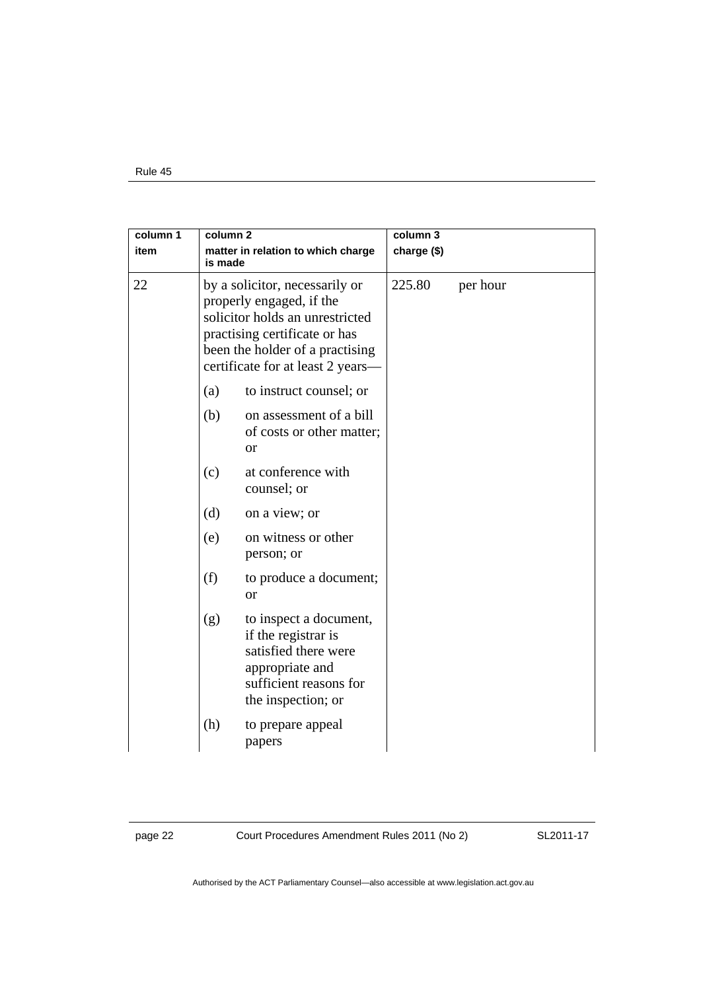| column 1<br>item | column <sub>2</sub><br>matter in relation to which charge<br>is made                                                                                                                                   |                                                                                                                                          | column 3<br>charge (\$) |          |  |
|------------------|--------------------------------------------------------------------------------------------------------------------------------------------------------------------------------------------------------|------------------------------------------------------------------------------------------------------------------------------------------|-------------------------|----------|--|
| 22               | by a solicitor, necessarily or<br>properly engaged, if the<br>solicitor holds an unrestricted<br>practising certificate or has<br>been the holder of a practising<br>certificate for at least 2 years- |                                                                                                                                          | 225.80                  | per hour |  |
|                  | (a)                                                                                                                                                                                                    | to instruct counsel; or                                                                                                                  |                         |          |  |
|                  | (b)                                                                                                                                                                                                    | on assessment of a bill<br>of costs or other matter;<br><b>or</b>                                                                        |                         |          |  |
|                  | (c)                                                                                                                                                                                                    | at conference with<br>counsel; or                                                                                                        |                         |          |  |
|                  | (d)                                                                                                                                                                                                    | on a view; or                                                                                                                            |                         |          |  |
|                  | (e)                                                                                                                                                                                                    | on witness or other<br>person; or                                                                                                        |                         |          |  |
|                  | (f)                                                                                                                                                                                                    | to produce a document;<br>or                                                                                                             |                         |          |  |
|                  | (g)                                                                                                                                                                                                    | to inspect a document,<br>if the registrar is<br>satisfied there were<br>appropriate and<br>sufficient reasons for<br>the inspection; or |                         |          |  |
|                  | (h)                                                                                                                                                                                                    | to prepare appeal<br>papers                                                                                                              |                         |          |  |

page 22 Court Procedures Amendment Rules 2011 (No 2)

SL2011-17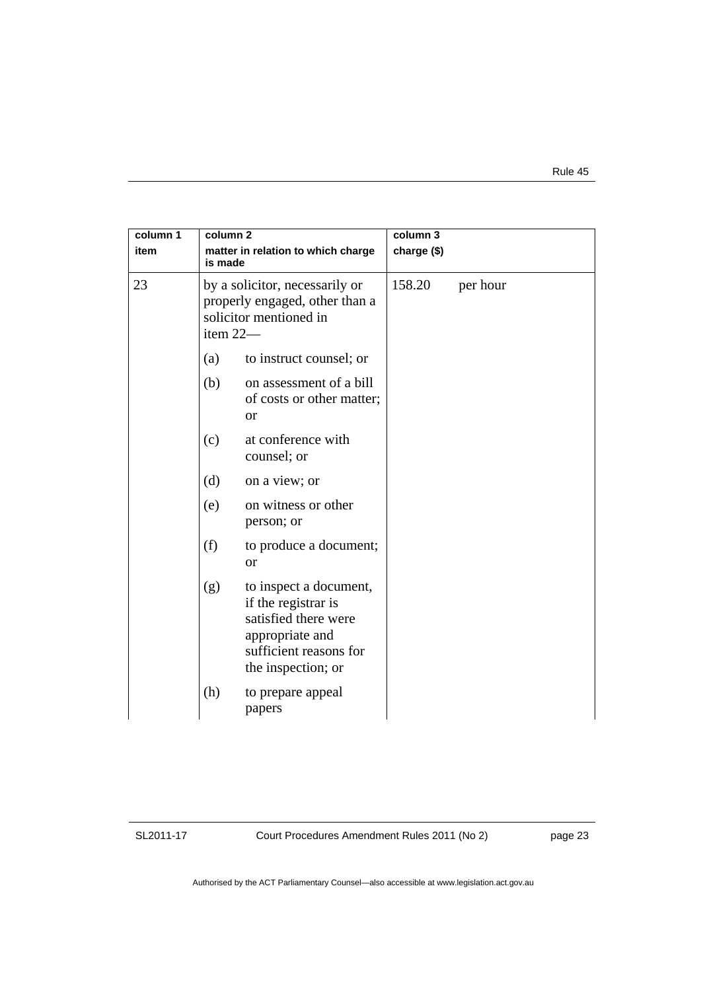| column 1<br>item |                                                                                                          | column 3<br>column <sub>2</sub><br>matter in relation to which charge<br>charge (\$)<br>is made                                          |        |          |
|------------------|----------------------------------------------------------------------------------------------------------|------------------------------------------------------------------------------------------------------------------------------------------|--------|----------|
| 23               | by a solicitor, necessarily or<br>properly engaged, other than a<br>solicitor mentioned in<br>item $22-$ |                                                                                                                                          | 158.20 | per hour |
|                  | (a)                                                                                                      | to instruct counsel; or                                                                                                                  |        |          |
|                  | (b)                                                                                                      | on assessment of a bill<br>of costs or other matter;<br><b>or</b>                                                                        |        |          |
|                  | (c)                                                                                                      | at conference with<br>counsel; or                                                                                                        |        |          |
|                  | (d)                                                                                                      | on a view; or                                                                                                                            |        |          |
|                  | (e)                                                                                                      | on witness or other<br>person; or                                                                                                        |        |          |
|                  | (f)                                                                                                      | to produce a document;<br><sub>or</sub>                                                                                                  |        |          |
|                  | (g)                                                                                                      | to inspect a document,<br>if the registrar is<br>satisfied there were<br>appropriate and<br>sufficient reasons for<br>the inspection; or |        |          |
|                  | (h)                                                                                                      | to prepare appeal<br>papers                                                                                                              |        |          |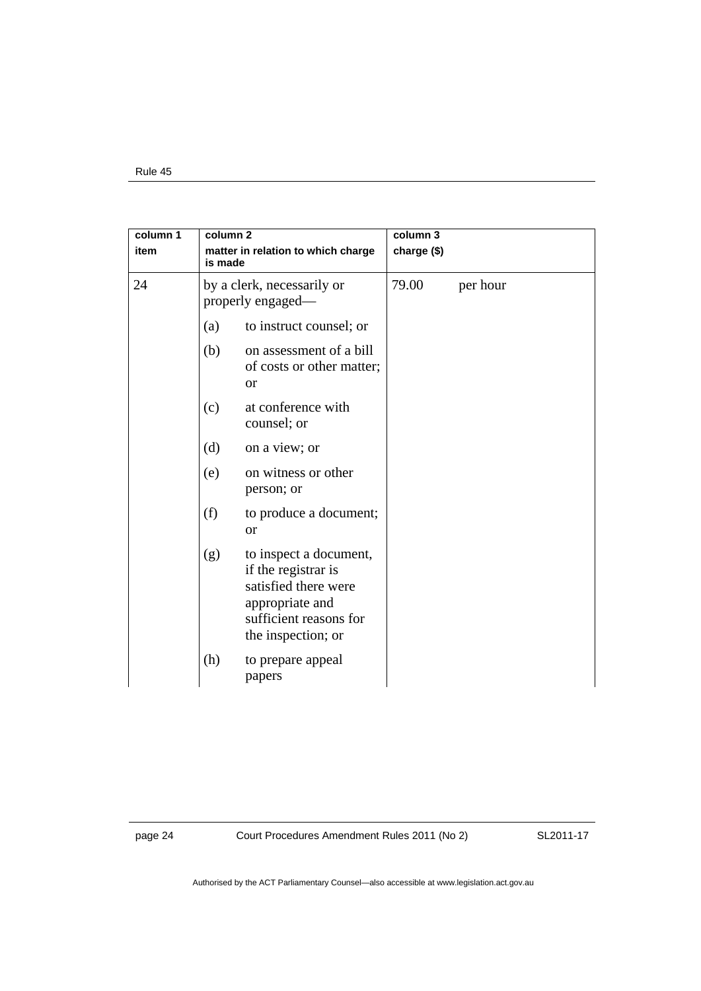| column 1<br>item | column <sub>2</sub><br>matter in relation to which charge<br>is made |                                                                                                                                          | column 3<br>charge (\$) |          |
|------------------|----------------------------------------------------------------------|------------------------------------------------------------------------------------------------------------------------------------------|-------------------------|----------|
| 24               | by a clerk, necessarily or<br>properly engaged—                      |                                                                                                                                          | 79.00                   | per hour |
|                  | (a)                                                                  | to instruct counsel; or                                                                                                                  |                         |          |
|                  | (b)                                                                  | on assessment of a bill<br>of costs or other matter;<br><b>or</b>                                                                        |                         |          |
|                  | (c)                                                                  | at conference with<br>counsel; or                                                                                                        |                         |          |
|                  | (d)                                                                  | on a view; or                                                                                                                            |                         |          |
|                  | (e)                                                                  | on witness or other<br>person; or                                                                                                        |                         |          |
|                  | (f)                                                                  | to produce a document;<br><b>or</b>                                                                                                      |                         |          |
|                  | (g)                                                                  | to inspect a document,<br>if the registrar is<br>satisfied there were<br>appropriate and<br>sufficient reasons for<br>the inspection; or |                         |          |
|                  | (h)                                                                  | to prepare appeal<br>papers                                                                                                              |                         |          |

page 24 Court Procedures Amendment Rules 2011 (No 2)

SL2011-17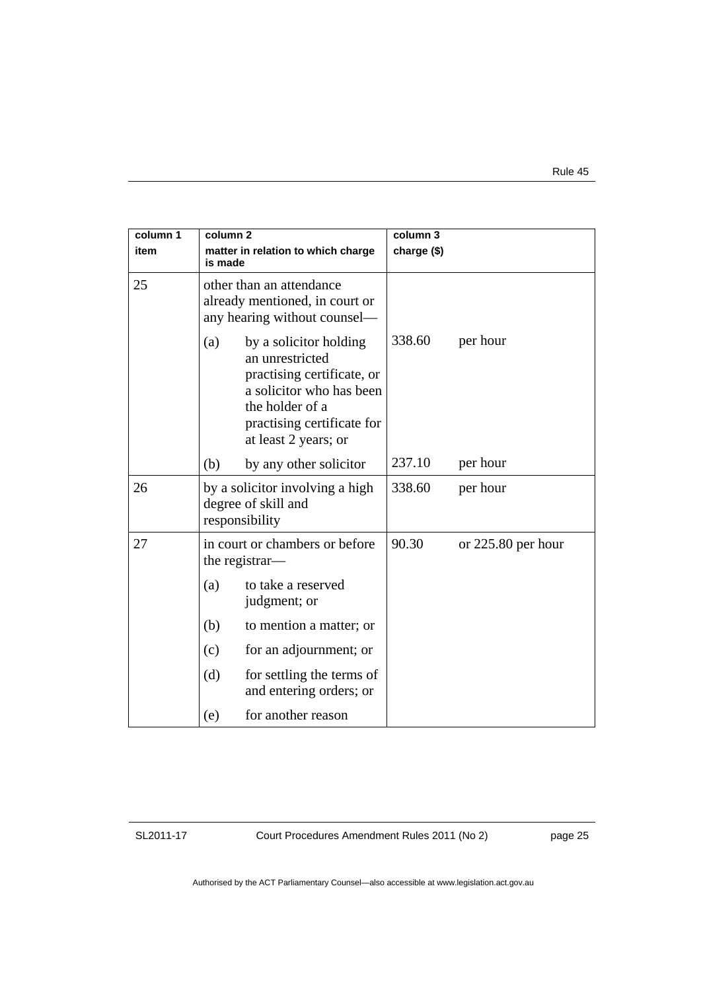| column 1<br>item | column 2<br>matter in relation to which charge<br>is made                                                                                                                           | column 3<br>charge (\$)       |  |
|------------------|-------------------------------------------------------------------------------------------------------------------------------------------------------------------------------------|-------------------------------|--|
| 25               | other than an attendance<br>already mentioned, in court or<br>any hearing without counsel—                                                                                          |                               |  |
|                  | by a solicitor holding<br>(a)<br>an unrestricted<br>practising certificate, or<br>a solicitor who has been<br>the holder of a<br>practising certificate for<br>at least 2 years; or | 338.60<br>per hour            |  |
|                  | by any other solicitor<br>(b)                                                                                                                                                       | 237.10<br>per hour            |  |
| 26               | by a solicitor involving a high<br>degree of skill and<br>responsibility                                                                                                            | 338.60<br>per hour            |  |
| 27               | in court or chambers or before<br>the registrar—                                                                                                                                    | 90.30<br>or $225.80$ per hour |  |
|                  | to take a reserved<br>(a)<br>judgment; or                                                                                                                                           |                               |  |
|                  | (b)<br>to mention a matter; or                                                                                                                                                      |                               |  |
|                  | for an adjournment; or<br>(c)                                                                                                                                                       |                               |  |
|                  | (d)<br>for settling the terms of<br>and entering orders; or                                                                                                                         |                               |  |
|                  | for another reason<br>(e)                                                                                                                                                           |                               |  |

Court Procedures Amendment Rules 2011 (No 2)

page 25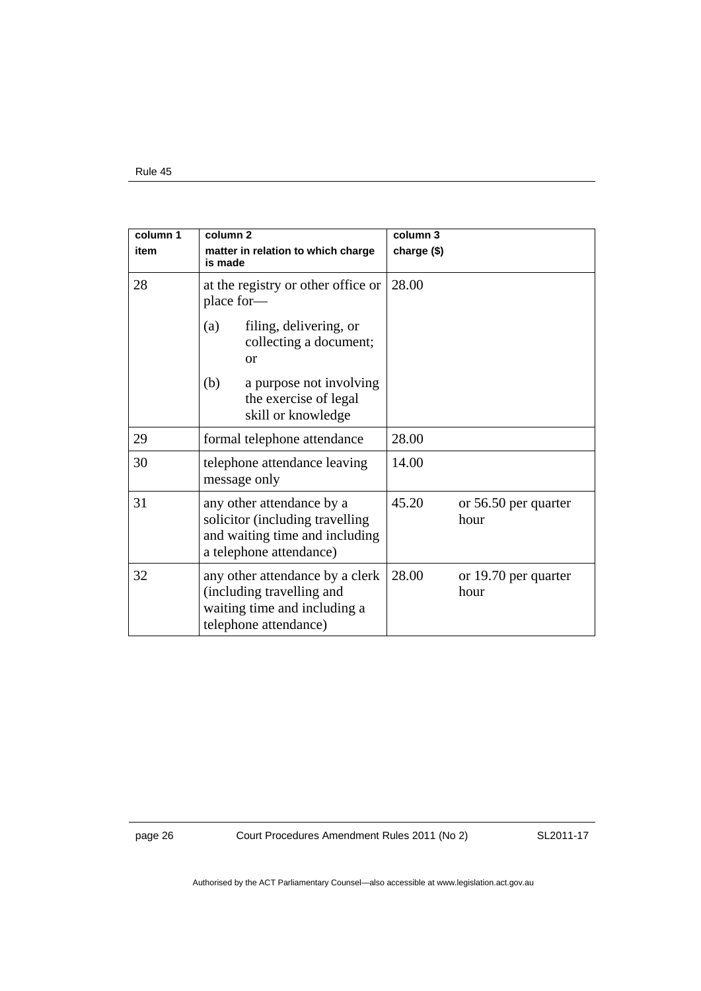| column 1 | column <sub>2</sub>                                                                                                       | column 3                              |
|----------|---------------------------------------------------------------------------------------------------------------------------|---------------------------------------|
| item     | matter in relation to which charge<br>is made                                                                             | charge (\$)                           |
| 28       | at the registry or other office or<br>place for-                                                                          | 28.00                                 |
|          | filing, delivering, or<br>(a)<br>collecting a document;<br>or                                                             |                                       |
|          | (b)<br>a purpose not involving<br>the exercise of legal<br>skill or knowledge                                             |                                       |
| 29       | formal telephone attendance                                                                                               | 28.00                                 |
| 30       | telephone attendance leaving<br>message only                                                                              | 14.00                                 |
| 31       | any other attendance by a<br>solicitor (including travelling<br>and waiting time and including<br>a telephone attendance) | 45.20<br>or 56.50 per quarter<br>hour |
| 32       | any other attendance by a clerk<br>(including travelling and<br>waiting time and including a<br>telephone attendance)     | 28.00<br>or 19.70 per quarter<br>hour |

page 26 Court Procedures Amendment Rules 2011 (No 2)

SL2011-17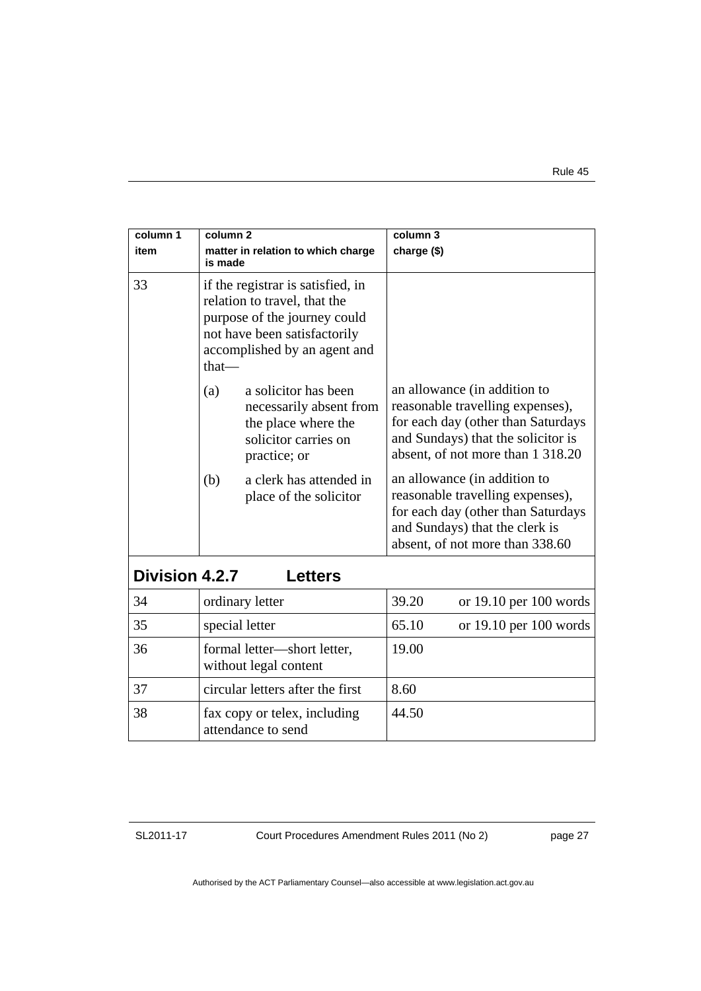| column 1              | $\overline{\text{column 2}}$                                                                                                                                               | column 3                                                                                                                                                                          |  |
|-----------------------|----------------------------------------------------------------------------------------------------------------------------------------------------------------------------|-----------------------------------------------------------------------------------------------------------------------------------------------------------------------------------|--|
| item                  | matter in relation to which charge<br>is made                                                                                                                              | charge (\$)                                                                                                                                                                       |  |
| 33                    | if the registrar is satisfied, in<br>relation to travel, that the<br>purpose of the journey could<br>not have been satisfactorily<br>accomplished by an agent and<br>that- |                                                                                                                                                                                   |  |
|                       | (a)<br>a solicitor has been<br>necessarily absent from<br>the place where the<br>solicitor carries on<br>practice; or                                                      | an allowance (in addition to<br>reasonable travelling expenses),<br>for each day (other than Saturdays<br>and Sundays) that the solicitor is<br>absent, of not more than 1 318.20 |  |
|                       | a clerk has attended in<br>(b)<br>place of the solicitor                                                                                                                   | an allowance (in addition to<br>reasonable travelling expenses),<br>for each day (other than Saturdays<br>and Sundays) that the clerk is<br>absent, of not more than 338.60       |  |
| <b>Division 4.2.7</b> | <b>Letters</b>                                                                                                                                                             |                                                                                                                                                                                   |  |
| 34                    | ordinary letter                                                                                                                                                            | 39.20<br>or $19.10$ per $100$ words                                                                                                                                               |  |
| 35                    | special letter                                                                                                                                                             | 65.10<br>or $19.10$ per $100$ words                                                                                                                                               |  |
| 36                    | formal letter-short letter,<br>without legal content                                                                                                                       | 19.00                                                                                                                                                                             |  |
| 37                    | circular letters after the first                                                                                                                                           | 8.60                                                                                                                                                                              |  |
| 38                    | fax copy or telex, including<br>attendance to send                                                                                                                         | 44.50                                                                                                                                                                             |  |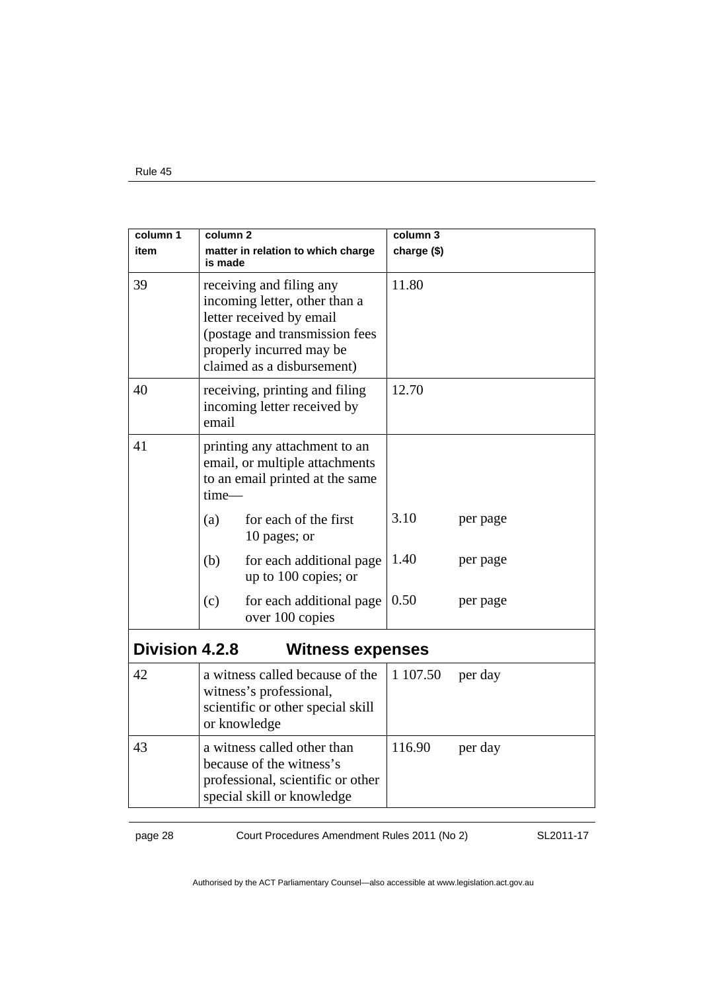| column 1       | column 2                                                                                                                                                                          |                                                                                                    | column 3    |          |
|----------------|-----------------------------------------------------------------------------------------------------------------------------------------------------------------------------------|----------------------------------------------------------------------------------------------------|-------------|----------|
| item           | is made                                                                                                                                                                           | matter in relation to which charge                                                                 | charge (\$) |          |
| 39             | receiving and filing any<br>incoming letter, other than a<br>letter received by email<br>(postage and transmission fees<br>properly incurred may be<br>claimed as a disbursement) |                                                                                                    | 11.80       |          |
| 40             | receiving, printing and filing<br>incoming letter received by<br>email                                                                                                            |                                                                                                    | 12.70       |          |
| 41             | time-                                                                                                                                                                             | printing any attachment to an<br>email, or multiple attachments<br>to an email printed at the same |             |          |
|                | (a)                                                                                                                                                                               | for each of the first<br>10 pages; or                                                              | 3.10        | per page |
|                | (b)                                                                                                                                                                               | for each additional page<br>up to 100 copies; or                                                   | 1.40        | per page |
|                | (c)                                                                                                                                                                               | for each additional page<br>over 100 copies                                                        | 0.50        | per page |
| Division 4.2.8 |                                                                                                                                                                                   | <b>Witness expenses</b>                                                                            |             |          |
| 42             | a witness called because of the<br>witness's professional,<br>scientific or other special skill<br>or knowledge                                                                   |                                                                                                    | 1 107.50    | per day  |
| 43             | a witness called other than<br>because of the witness's<br>professional, scientific or other<br>special skill or knowledge                                                        |                                                                                                    | 116.90      | per day  |

page 28 Court Procedures Amendment Rules 2011 (No 2)

SL2011-17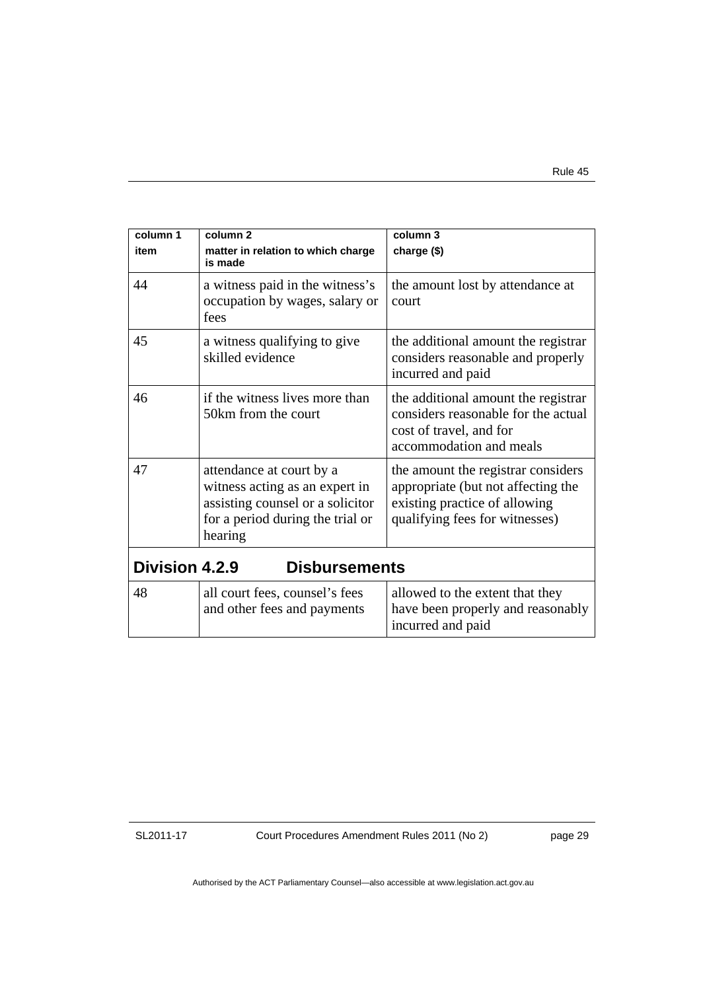| column 1<br>item      | column <sub>2</sub><br>matter in relation to which charge<br>is made                                                                          | column 3<br>charge (\$)                                                                                                                     |
|-----------------------|-----------------------------------------------------------------------------------------------------------------------------------------------|---------------------------------------------------------------------------------------------------------------------------------------------|
| 44                    | a witness paid in the witness's<br>occupation by wages, salary or<br>fees                                                                     | the amount lost by attendance at<br><b>court</b>                                                                                            |
| 45                    | a witness qualifying to give<br>skilled evidence                                                                                              | the additional amount the registrar<br>considers reasonable and properly<br>incurred and paid                                               |
| 46                    | if the witness lives more than<br>50km from the court                                                                                         | the additional amount the registrar<br>considers reasonable for the actual<br>cost of travel, and for<br>accommodation and meals            |
| 47                    | attendance at court by a<br>witness acting as an expert in<br>assisting counsel or a solicitor<br>for a period during the trial or<br>hearing | the amount the registrar considers<br>appropriate (but not affecting the<br>existing practice of allowing<br>qualifying fees for witnesses) |
| <b>Division 4.2.9</b> | <b>Disbursements</b>                                                                                                                          |                                                                                                                                             |
| 48                    | all court fees, counsel's fees<br>and other fees and payments                                                                                 | allowed to the extent that they<br>have been properly and reasonably<br>incurred and paid                                                   |

Court Procedures Amendment Rules 2011 (No 2)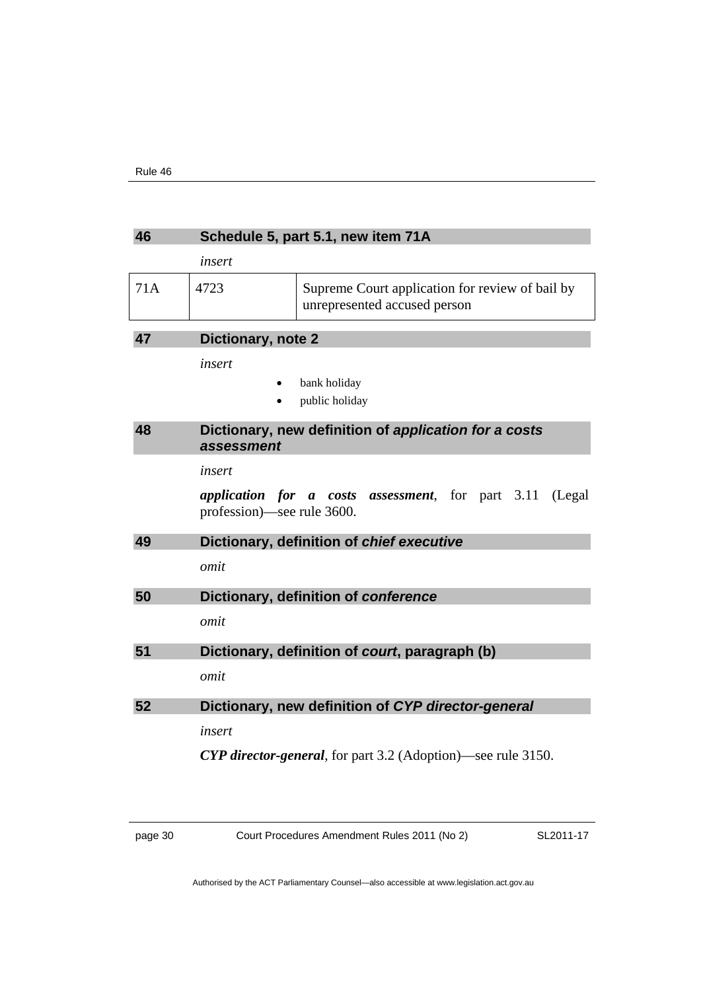| 46  | Schedule 5, part 5.1, new item 71A |                                                                                 |
|-----|------------------------------------|---------------------------------------------------------------------------------|
|     | insert                             |                                                                                 |
| 71A | 4723                               | Supreme Court application for review of bail by<br>unrepresented accused person |
| 47  | Dictionary, note 2                 |                                                                                 |
|     | insert                             |                                                                                 |
|     |                                    | bank holiday                                                                    |
|     |                                    | public holiday                                                                  |
| 48  | assessment                         | Dictionary, new definition of application for a costs                           |
|     | insert                             |                                                                                 |
|     | profession)—see rule 3600.         | <i>application for a costs assessment</i> , for part 3.11<br>(Legal)            |
| 49  |                                    | Dictionary, definition of chief executive                                       |
|     | omit                               |                                                                                 |
| 50  |                                    | Dictionary, definition of conference                                            |
|     | omit                               |                                                                                 |
| 51  |                                    | Dictionary, definition of court, paragraph (b)                                  |
|     | omit                               |                                                                                 |
| 52  |                                    | Dictionary, new definition of CYP director-general                              |
|     | insert                             |                                                                                 |
|     |                                    | <b>CYP director-general</b> , for part 3.2 (Adoption)—see rule 3150.            |

page 30 Court Procedures Amendment Rules 2011 (No 2)

SL2011-17